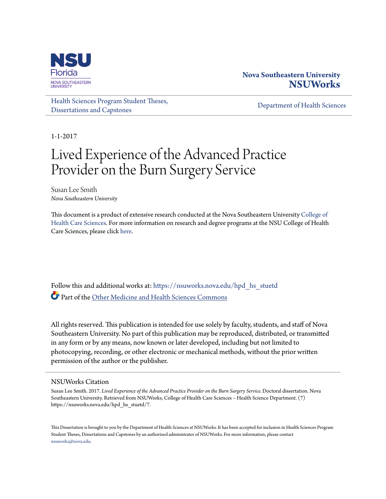

# **Nova Southeastern University [NSUWorks](https://nsuworks.nova.edu?utm_source=nsuworks.nova.edu%2Fhpd_hs_stuetd%2F7&utm_medium=PDF&utm_campaign=PDFCoverPages)**

[Health Sciences Program Student Theses,](https://nsuworks.nova.edu/hpd_hs_stuetd?utm_source=nsuworks.nova.edu%2Fhpd_hs_stuetd%2F7&utm_medium=PDF&utm_campaign=PDFCoverPages) [Dissertations and Capstones](https://nsuworks.nova.edu/hpd_hs_stuetd?utm_source=nsuworks.nova.edu%2Fhpd_hs_stuetd%2F7&utm_medium=PDF&utm_campaign=PDFCoverPages)

[Department of Health Sciences](https://nsuworks.nova.edu/hpd_hs?utm_source=nsuworks.nova.edu%2Fhpd_hs_stuetd%2F7&utm_medium=PDF&utm_campaign=PDFCoverPages)

1-1-2017

# Lived Experience of the Advanced Practice Provider on the Burn Surgery Service

Susan Lee Smith *Nova Southeastern University*

This document is a product of extensive research conducted at the Nova Southeastern University [College of](http://healthsciences.nova.edu/index.html) [Health Care Sciences](http://healthsciences.nova.edu/index.html). For more information on research and degree programs at the NSU College of Health Care Sciences, please click [here.](http://healthsciences.nova.edu/index.html)

Follow this and additional works at: [https://nsuworks.nova.edu/hpd\\_hs\\_stuetd](https://nsuworks.nova.edu/hpd_hs_stuetd?utm_source=nsuworks.nova.edu%2Fhpd_hs_stuetd%2F7&utm_medium=PDF&utm_campaign=PDFCoverPages) Part of the [Other Medicine and Health Sciences Commons](http://network.bepress.com/hgg/discipline/772?utm_source=nsuworks.nova.edu%2Fhpd_hs_stuetd%2F7&utm_medium=PDF&utm_campaign=PDFCoverPages)

All rights reserved. This publication is intended for use solely by faculty, students, and staff of Nova Southeastern University. No part of this publication may be reproduced, distributed, or transmitted in any form or by any means, now known or later developed, including but not limited to photocopying, recording, or other electronic or mechanical methods, without the prior written permission of the author or the publisher.

#### NSUWorks Citation

Susan Lee Smith. 2017. *Lived Experience of the Advanced Practice Provider on the Burn Surgery Service.* Doctoral dissertation. Nova Southeastern University. Retrieved from NSUWorks, College of Health Care Sciences – Health Science Department. (7) https://nsuworks.nova.edu/hpd\_hs\_stuetd/7.

This Dissertation is brought to you by the Department of Health Sciences at NSUWorks. It has been accepted for inclusion in Health Sciences Program Student Theses, Dissertations and Capstones by an authorized administrator of NSUWorks. For more information, please contact [nsuworks@nova.edu.](mailto:nsuworks@nova.edu)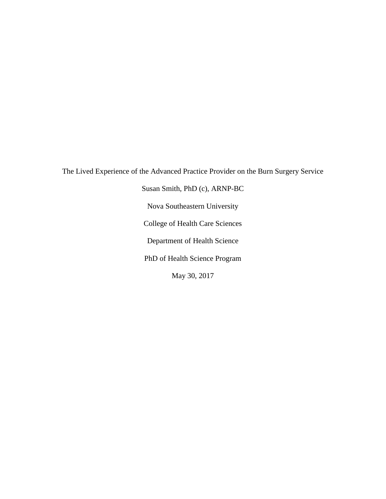The Lived Experience of the Advanced Practice Provider on the Burn Surgery Service Susan Smith, PhD (c), ARNP-BC Nova Southeastern University College of Health Care Sciences Department of Health Science PhD of Health Science Program May 30, 2017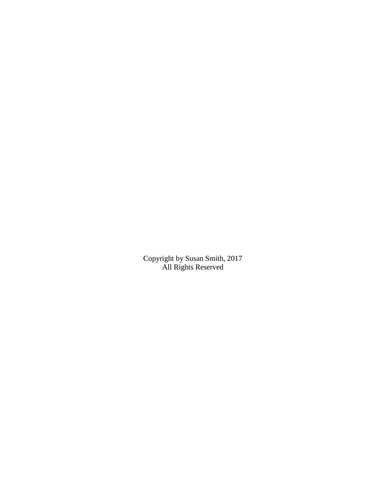Copyright by Susan Smith, 2017 All Rights Reserved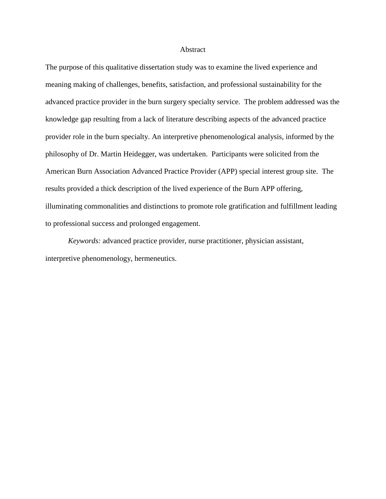#### Abstract

The purpose of this qualitative dissertation study was to examine the lived experience and meaning making of challenges, benefits, satisfaction, and professional sustainability for the advanced practice provider in the burn surgery specialty service. The problem addressed was the knowledge gap resulting from a lack of literature describing aspects of the advanced practice provider role in the burn specialty. An interpretive phenomenological analysis, informed by the philosophy of Dr. Martin Heidegger, was undertaken. Participants were solicited from the American Burn Association Advanced Practice Provider (APP) special interest group site. The results provided a thick description of the lived experience of the Burn APP offering, illuminating commonalities and distinctions to promote role gratification and fulfillment leading to professional success and prolonged engagement.

*Keywords:* advanced practice provider, nurse practitioner, physician assistant, interpretive phenomenology, hermeneutics.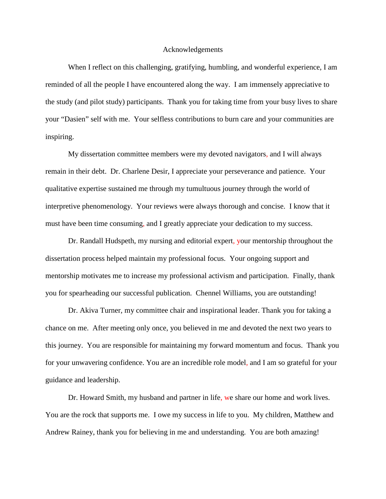#### Acknowledgements

When I reflect on this challenging, gratifying, humbling, and wonderful experience, I am reminded of all the people I have encountered along the way. I am immensely appreciative to the study (and pilot study) participants. Thank you for taking time from your busy lives to share your "Dasien" self with me. Your selfless contributions to burn care and your communities are inspiring.

My dissertation committee members were my devoted navigators, and I will always remain in their debt. Dr. Charlene Desir, I appreciate your perseverance and patience. Your qualitative expertise sustained me through my tumultuous journey through the world of interpretive phenomenology. Your reviews were always thorough and concise. I know that it must have been time consuming, and I greatly appreciate your dedication to my success.

Dr. Randall Hudspeth, my nursing and editorial expert, your mentorship throughout the dissertation process helped maintain my professional focus. Your ongoing support and mentorship motivates me to increase my professional activism and participation. Finally, thank you for spearheading our successful publication. Chennel Williams, you are outstanding!

Dr. Akiva Turner, my committee chair and inspirational leader. Thank you for taking a chance on me. After meeting only once, you believed in me and devoted the next two years to this journey. You are responsible for maintaining my forward momentum and focus. Thank you for your unwavering confidence. You are an incredible role model, and I am so grateful for your guidance and leadership.

Dr. Howard Smith, my husband and partner in life, we share our home and work lives. You are the rock that supports me. I owe my success in life to you. My children, Matthew and Andrew Rainey, thank you for believing in me and understanding. You are both amazing!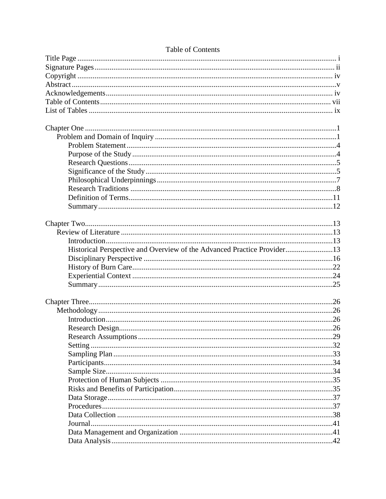| Historical Perspective and Overview of the Advanced Practice Provider13 |  |
|-------------------------------------------------------------------------|--|
|                                                                         |  |
|                                                                         |  |
|                                                                         |  |
|                                                                         |  |
|                                                                         |  |
|                                                                         |  |
|                                                                         |  |
|                                                                         |  |
|                                                                         |  |
|                                                                         |  |
|                                                                         |  |
|                                                                         |  |
|                                                                         |  |
|                                                                         |  |
|                                                                         |  |
|                                                                         |  |
|                                                                         |  |
|                                                                         |  |
|                                                                         |  |
|                                                                         |  |
|                                                                         |  |
|                                                                         |  |

# Table of Contents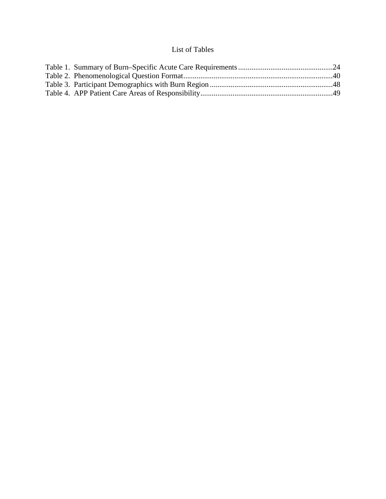# List of Tables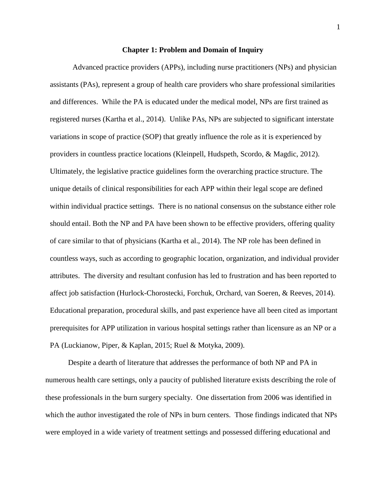## **Chapter 1: Problem and Domain of Inquiry**

Advanced practice providers (APPs), including nurse practitioners (NPs) and physician assistants (PAs), represent a group of health care providers who share professional similarities and differences. While the PA is educated under the medical model, NPs are first trained as registered nurses (Kartha et al., 2014). Unlike PAs, NPs are subjected to significant interstate variations in scope of practice (SOP) that greatly influence the role as it is experienced by providers in countless practice locations (Kleinpell, Hudspeth, Scordo, & Magdic, 2012). Ultimately, the legislative practice guidelines form the overarching practice structure. The unique details of clinical responsibilities for each APP within their legal scope are defined within individual practice settings. There is no national consensus on the substance either role should entail. Both the NP and PA have been shown to be effective providers, offering quality of care similar to that of physicians (Kartha et al., 2014). The NP role has been defined in countless ways, such as according to geographic location, organization, and individual provider attributes. The diversity and resultant confusion has led to frustration and has been reported to affect job satisfaction (Hurlock-Chorostecki, Forchuk, Orchard, van Soeren, & Reeves, 2014). Educational preparation, procedural skills, and past experience have all been cited as important prerequisites for APP utilization in various hospital settings rather than licensure as an NP or a PA (Luckianow, Piper, & Kaplan, 2015; Ruel & Motyka, 2009).

Despite a dearth of literature that addresses the performance of both NP and PA in numerous health care settings, only a paucity of published literature exists describing the role of these professionals in the burn surgery specialty. One dissertation from 2006 was identified in which the author investigated the role of NPs in burn centers. Those findings indicated that NPs were employed in a wide variety of treatment settings and possessed differing educational and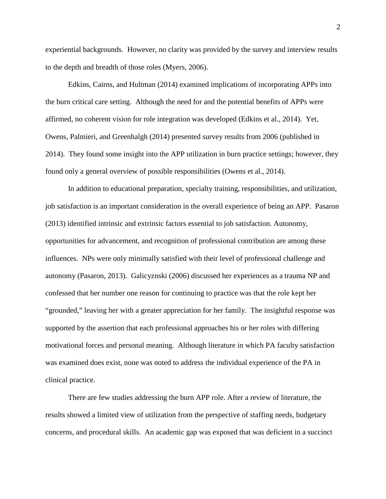experiential backgrounds. However, no clarity was provided by the survey and interview results to the depth and breadth of those roles (Myers, 2006).

Edkins, Cairns, and Hultman (2014) examined implications of incorporating APPs into the burn critical care setting. Although the need for and the potential benefits of APPs were affirmed, no coherent vision for role integration was developed (Edkins et al., 2014). Yet, Owens, Palmieri, and Greenhalgh (2014) presented survey results from 2006 (published in 2014). They found some insight into the APP utilization in burn practice settings; however, they found only a general overview of possible responsibilities (Owens et al., 2014).

In addition to educational preparation, specialty training, responsibilities, and utilization, job satisfaction is an important consideration in the overall experience of being an APP. Pasaron (2013) identified intrinsic and extrinsic factors essential to job satisfaction. Autonomy, opportunities for advancement, and recognition of professional contribution are among these influences. NPs were only minimally satisfied with their level of professional challenge and autonomy (Pasaron, 2013). Galicyznski (2006) discussed her experiences as a trauma NP and confessed that her number one reason for continuing to practice was that the role kept her "grounded," leaving her with a greater appreciation for her family. The insightful response was supported by the assertion that each professional approaches his or her roles with differing motivational forces and personal meaning. Although literature in which PA faculty satisfaction was examined does exist, none was noted to address the individual experience of the PA in clinical practice.

There are few studies addressing the burn APP role. After a review of literature, the results showed a limited view of utilization from the perspective of staffing needs, budgetary concerns, and procedural skills. An academic gap was exposed that was deficient in a succinct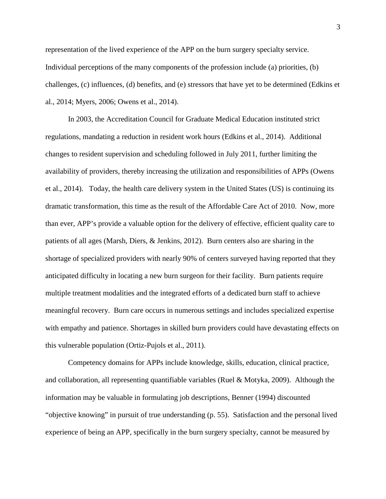representation of the lived experience of the APP on the burn surgery specialty service. Individual perceptions of the many components of the profession include (a) priorities, (b) challenges, (c) influences, (d) benefits, and (e) stressors that have yet to be determined (Edkins et al., 2014; Myers, 2006; Owens et al., 2014).

In 2003, the Accreditation Council for Graduate Medical Education instituted strict regulations, mandating a reduction in resident work hours (Edkins et al., 2014). Additional changes to resident supervision and scheduling followed in July 2011, further limiting the availability of providers, thereby increasing the utilization and responsibilities of APPs (Owens et al., 2014). Today, the health care delivery system in the United States (US) is continuing its dramatic transformation, this time as the result of the Affordable Care Act of 2010. Now, more than ever, APP's provide a valuable option for the delivery of effective, efficient quality care to patients of all ages (Marsh, Diers, & Jenkins, 2012). Burn centers also are sharing in the shortage of specialized providers with nearly 90% of centers surveyed having reported that they anticipated difficulty in locating a new burn surgeon for their facility. Burn patients require multiple treatment modalities and the integrated efforts of a dedicated burn staff to achieve meaningful recovery. Burn care occurs in numerous settings and includes specialized expertise with empathy and patience. Shortages in skilled burn providers could have devastating effects on this vulnerable population (Ortiz-Pujols et al., 2011).

Competency domains for APPs include knowledge, skills, education, clinical practice, and collaboration, all representing quantifiable variables (Ruel & Motyka, 2009). Although the information may be valuable in formulating job descriptions, Benner (1994) discounted "objective knowing" in pursuit of true understanding (p. 55). Satisfaction and the personal lived experience of being an APP, specifically in the burn surgery specialty, cannot be measured by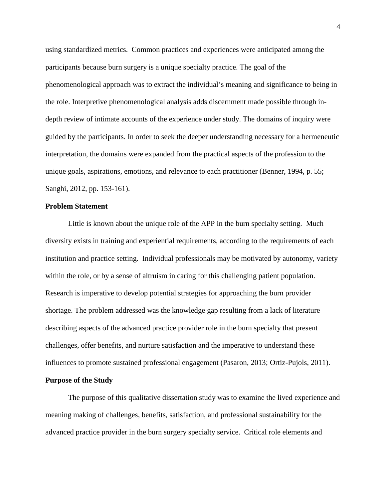using standardized metrics. Common practices and experiences were anticipated among the participants because burn surgery is a unique specialty practice. The goal of the phenomenological approach was to extract the individual's meaning and significance to being in the role. Interpretive phenomenological analysis adds discernment made possible through indepth review of intimate accounts of the experience under study. The domains of inquiry were guided by the participants. In order to seek the deeper understanding necessary for a hermeneutic interpretation, the domains were expanded from the practical aspects of the profession to the unique goals, aspirations, emotions, and relevance to each practitioner (Benner, 1994, p. 55; Sanghi, 2012, pp. 153-161).

## **Problem Statement**

Little is known about the unique role of the APP in the burn specialty setting. Much diversity exists in training and experiential requirements, according to the requirements of each institution and practice setting. Individual professionals may be motivated by autonomy, variety within the role, or by a sense of altruism in caring for this challenging patient population. Research is imperative to develop potential strategies for approaching the burn provider shortage. The problem addressed was the knowledge gap resulting from a lack of literature describing aspects of the advanced practice provider role in the burn specialty that present challenges, offer benefits, and nurture satisfaction and the imperative to understand these influences to promote sustained professional engagement (Pasaron, 2013; Ortiz-Pujols, 2011).

## **Purpose of the Study**

The purpose of this qualitative dissertation study was to examine the lived experience and meaning making of challenges, benefits, satisfaction, and professional sustainability for the advanced practice provider in the burn surgery specialty service. Critical role elements and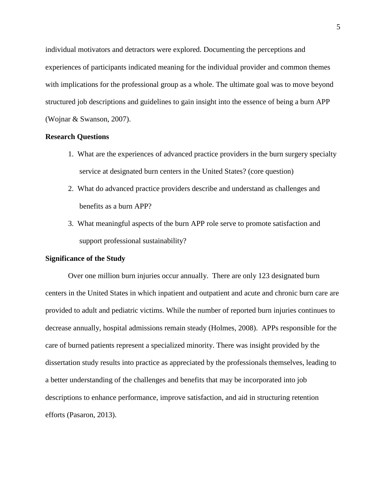individual motivators and detractors were explored. Documenting the perceptions and experiences of participants indicated meaning for the individual provider and common themes with implications for the professional group as a whole. The ultimate goal was to move beyond structured job descriptions and guidelines to gain insight into the essence of being a burn APP (Wojnar & Swanson, 2007).

## **Research Questions**

- 1. What are the experiences of advanced practice providers in the burn surgery specialty service at designated burn centers in the United States? (core question)
- 2. What do advanced practice providers describe and understand as challenges and benefits as a burn APP?
- 3. What meaningful aspects of the burn APP role serve to promote satisfaction and support professional sustainability?

## **Significance of the Study**

Over one million burn injuries occur annually. There are only 123 designated burn centers in the United States in which inpatient and outpatient and acute and chronic burn care are provided to adult and pediatric victims. While the number of reported burn injuries continues to decrease annually, hospital admissions remain steady (Holmes, 2008). APPs responsible for the care of burned patients represent a specialized minority. There was insight provided by the dissertation study results into practice as appreciated by the professionals themselves, leading to a better understanding of the challenges and benefits that may be incorporated into job descriptions to enhance performance, improve satisfaction, and aid in structuring retention efforts (Pasaron, 2013).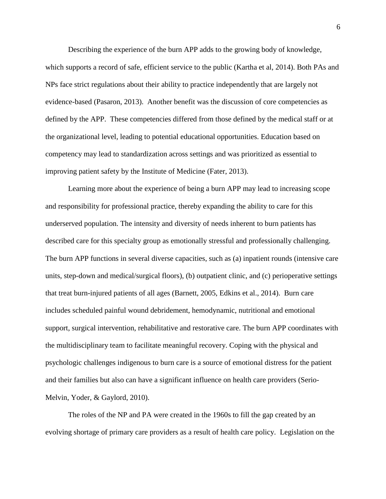Describing the experience of the burn APP adds to the growing body of knowledge, which supports a record of safe, efficient service to the public (Kartha et al, 2014). Both PAs and NPs face strict regulations about their ability to practice independently that are largely not evidence-based (Pasaron, 2013). Another benefit was the discussion of core competencies as defined by the APP. These competencies differed from those defined by the medical staff or at the organizational level, leading to potential educational opportunities. Education based on competency may lead to standardization across settings and was prioritized as essential to improving patient safety by the Institute of Medicine (Fater, 2013).

Learning more about the experience of being a burn APP may lead to increasing scope and responsibility for professional practice, thereby expanding the ability to care for this underserved population. The intensity and diversity of needs inherent to burn patients has described care for this specialty group as emotionally stressful and professionally challenging. The burn APP functions in several diverse capacities, such as (a) inpatient rounds (intensive care units, step-down and medical/surgical floors), (b) outpatient clinic, and (c) perioperative settings that treat burn-injured patients of all ages (Barnett, 2005, Edkins et al., 2014). Burn care includes scheduled painful wound debridement, hemodynamic, nutritional and emotional support, surgical intervention, rehabilitative and restorative care. The burn APP coordinates with the multidisciplinary team to facilitate meaningful recovery. Coping with the physical and psychologic challenges indigenous to burn care is a source of emotional distress for the patient and their families but also can have a significant influence on health care providers (Serio-Melvin, Yoder, & Gaylord, 2010).

The roles of the NP and PA were created in the 1960s to fill the gap created by an evolving shortage of primary care providers as a result of health care policy. Legislation on the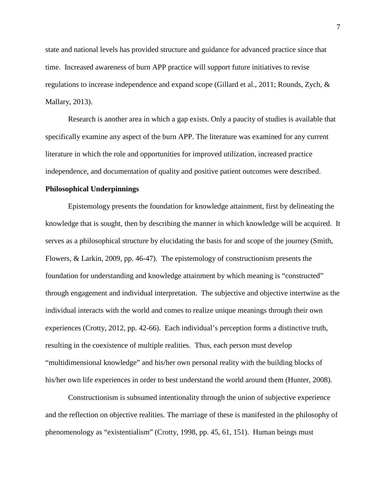state and national levels has provided structure and guidance for advanced practice since that time. Increased awareness of burn APP practice will support future initiatives to revise regulations to increase independence and expand scope (Gillard et al., 2011; Rounds, Zych, & Mallary, 2013).

Research is another area in which a gap exists. Only a paucity of studies is available that specifically examine any aspect of the burn APP. The literature was examined for any current literature in which the role and opportunities for improved utilization, increased practice independence, and documentation of quality and positive patient outcomes were described.

## **Philosophical Underpinnings**

Epistemology presents the foundation for knowledge attainment, first by delineating the knowledge that is sought, then by describing the manner in which knowledge will be acquired. It serves as a philosophical structure by elucidating the basis for and scope of the journey (Smith, Flowers, & Larkin, 2009, pp. 46-47). The epistemology of constructionism presents the foundation for understanding and knowledge attainment by which meaning is "constructed" through engagement and individual interpretation. The subjective and objective intertwine as the individual interacts with the world and comes to realize unique meanings through their own experiences (Crotty, 2012, pp. 42-66). Each individual's perception forms a distinctive truth, resulting in the coexistence of multiple realities. Thus, each person must develop "multidimensional knowledge" and his/her own personal reality with the building blocks of his/her own life experiences in order to best understand the world around them (Hunter, 2008).

Constructionism is subsumed intentionality through the union of subjective experience and the reflection on objective realities. The marriage of these is manifested in the philosophy of phenomenology as "existentialism" (Crotty, 1998, pp. 45, 61, 151). Human beings must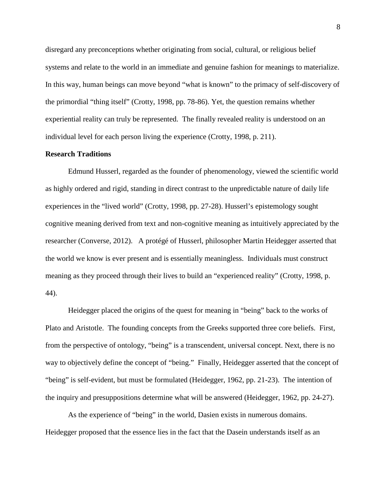disregard any preconceptions whether originating from social, cultural, or religious belief systems and relate to the world in an immediate and genuine fashion for meanings to materialize. In this way, human beings can move beyond "what is known" to the primacy of self-discovery of the primordial "thing itself" (Crotty, 1998, pp. 78-86). Yet, the question remains whether experiential reality can truly be represented. The finally revealed reality is understood on an individual level for each person living the experience (Crotty, 1998, p. 211).

## **Research Traditions**

Edmund Husserl, regarded as the founder of phenomenology, viewed the scientific world as highly ordered and rigid, standing in direct contrast to the unpredictable nature of daily life experiences in the "lived world" (Crotty, 1998, pp. 27-28). Husserl's epistemology sought cognitive meaning derived from text and non-cognitive meaning as intuitively appreciated by the researcher (Converse, 2012). A protégé of Husserl, philosopher Martin Heidegger asserted that the world we know is ever present and is essentially meaningless. Individuals must construct meaning as they proceed through their lives to build an "experienced reality" (Crotty, 1998, p. 44).

Heidegger placed the origins of the quest for meaning in "being" back to the works of Plato and Aristotle. The founding concepts from the Greeks supported three core beliefs. First, from the perspective of ontology, "being" is a transcendent, universal concept. Next, there is no way to objectively define the concept of "being." Finally, Heidegger asserted that the concept of "being" is self-evident, but must be formulated (Heidegger, 1962, pp. 21-23). The intention of the inquiry and presuppositions determine what will be answered (Heidegger, 1962, pp. 24-27).

As the experience of "being" in the world, Dasien exists in numerous domains. Heidegger proposed that the essence lies in the fact that the Dasein understands itself as an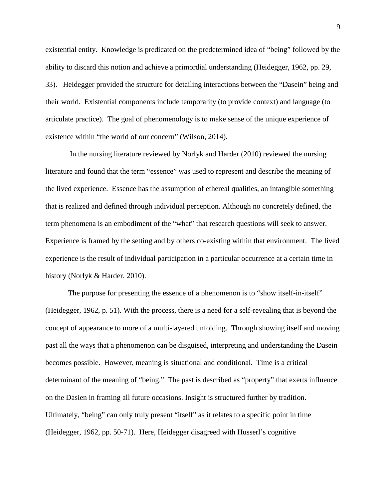existential entity. Knowledge is predicated on the predetermined idea of "being" followed by the ability to discard this notion and achieve a primordial understanding (Heidegger, 1962, pp. 29, 33). Heidegger provided the structure for detailing interactions between the "Dasein" being and their world. Existential components include temporality (to provide context) and language (to articulate practice). The goal of phenomenology is to make sense of the unique experience of existence within "the world of our concern" (Wilson, 2014).

In the nursing literature reviewed by Norlyk and Harder (2010) reviewed the nursing literature and found that the term "essence" was used to represent and describe the meaning of the lived experience. Essence has the assumption of ethereal qualities, an intangible something that is realized and defined through individual perception. Although no concretely defined, the term phenomena is an embodiment of the "what" that research questions will seek to answer. Experience is framed by the setting and by others co-existing within that environment. The lived experience is the result of individual participation in a particular occurrence at a certain time in history (Norlyk & Harder, 2010).

The purpose for presenting the essence of a phenomenon is to "show itself-in-itself" (Heidegger, 1962, p. 51). With the process, there is a need for a self-revealing that is beyond the concept of appearance to more of a multi-layered unfolding. Through showing itself and moving past all the ways that a phenomenon can be disguised, interpreting and understanding the Dasein becomes possible. However, meaning is situational and conditional. Time is a critical determinant of the meaning of "being." The past is described as "property" that exerts influence on the Dasien in framing all future occasions. Insight is structured further by tradition. Ultimately, "being" can only truly present "itself" as it relates to a specific point in time (Heidegger, 1962, pp. 50-71). Here, Heidegger disagreed with Husserl's cognitive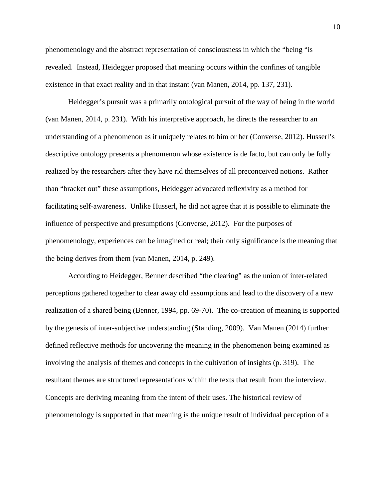phenomenology and the abstract representation of consciousness in which the "being "is revealed. Instead, Heidegger proposed that meaning occurs within the confines of tangible existence in that exact reality and in that instant (van Manen, 2014, pp. 137, 231).

Heidegger's pursuit was a primarily ontological pursuit of the way of being in the world (van Manen, 2014, p. 231). With his interpretive approach, he directs the researcher to an understanding of a phenomenon as it uniquely relates to him or her (Converse, 2012). Husserl's descriptive ontology presents a phenomenon whose existence is de facto, but can only be fully realized by the researchers after they have rid themselves of all preconceived notions. Rather than "bracket out" these assumptions, Heidegger advocated reflexivity as a method for facilitating self-awareness. Unlike Husserl, he did not agree that it is possible to eliminate the influence of perspective and presumptions (Converse, 2012). For the purposes of phenomenology, experiences can be imagined or real; their only significance is the meaning that the being derives from them (van Manen, 2014, p. 249).

According to Heidegger, Benner described "the clearing" as the union of inter-related perceptions gathered together to clear away old assumptions and lead to the discovery of a new realization of a shared being (Benner, 1994, pp. 69-70). The co-creation of meaning is supported by the genesis of inter-subjective understanding (Standing, 2009). Van Manen (2014) further defined reflective methods for uncovering the meaning in the phenomenon being examined as involving the analysis of themes and concepts in the cultivation of insights (p. 319). The resultant themes are structured representations within the texts that result from the interview. Concepts are deriving meaning from the intent of their uses. The historical review of phenomenology is supported in that meaning is the unique result of individual perception of a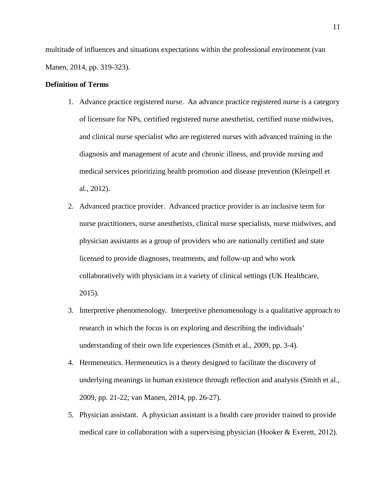multitude of influences and situations expectations within the professional environment (van Manen, 2014, pp. 319-323).

## **Definition of Terms**

- 1. Advance practice registered nurse. An advance practice registered nurse is a category of licensure for NPs, certified registered nurse anesthetist, certified nurse midwives, and clinical nurse specialist who are registered nurses with advanced training in the diagnosis and management of acute and chronic illness, and provide nursing and medical services prioritizing health promotion and disease prevention (Kleinpell et al., 2012).
- 2. Advanced practice provider. Advanced practice provider is an inclusive term for nurse practitioners, nurse anesthetists, clinical nurse specialists, nurse midwives, and physician assistants as a group of providers who are nationally certified and state licensed to provide diagnoses, treatments, and follow-up and who work collaboratively with physicians in a variety of clinical settings (UK Healthcare, 2015).
- 3. Interpretive phenomenology. Interpretive phenomenology is a qualitative approach to research in which the focus is on exploring and describing the individuals' understanding of their own life experiences (Smith et al., 2009, pp. 3-4).
- 4. Hermeneutics. Hermeneutics is a theory designed to facilitate the discovery of underlying meanings in human existence through reflection and analysis (Smith et al., 2009, pp. 21-22; van Manen, 2014, pp. 26-27).
- 5. Physician assistant. A physician assistant is a health care provider trained to provide medical care in collaboration with a supervising physician (Hooker & Everett, 2012).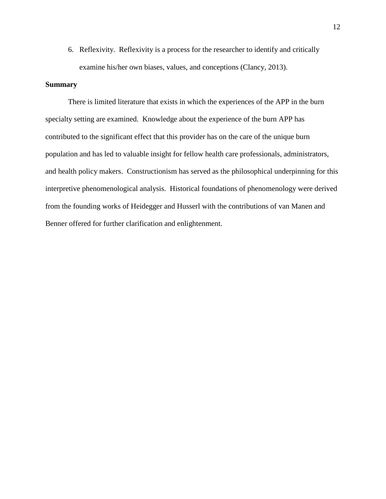6. Reflexivity. Reflexivity is a process for the researcher to identify and critically examine his/her own biases, values, and conceptions (Clancy, 2013).

## **Summary**

There is limited literature that exists in which the experiences of the APP in the burn specialty setting are examined. Knowledge about the experience of the burn APP has contributed to the significant effect that this provider has on the care of the unique burn population and has led to valuable insight for fellow health care professionals, administrators, and health policy makers. Constructionism has served as the philosophical underpinning for this interpretive phenomenological analysis. Historical foundations of phenomenology were derived from the founding works of Heidegger and Husserl with the contributions of van Manen and Benner offered for further clarification and enlightenment.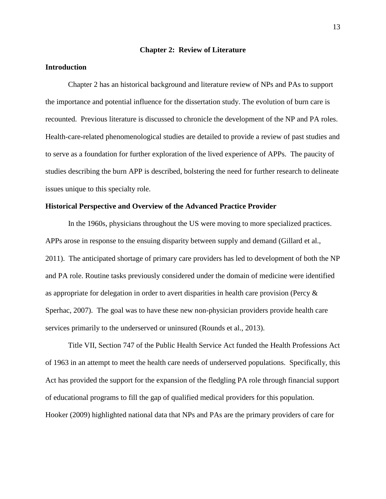#### **Chapter 2: Review of Literature**

## **Introduction**

Chapter 2 has an historical background and literature review of NPs and PAs to support the importance and potential influence for the dissertation study. The evolution of burn care is recounted. Previous literature is discussed to chronicle the development of the NP and PA roles. Health-care-related phenomenological studies are detailed to provide a review of past studies and to serve as a foundation for further exploration of the lived experience of APPs. The paucity of studies describing the burn APP is described, bolstering the need for further research to delineate issues unique to this specialty role.

## **Historical Perspective and Overview of the Advanced Practice Provider**

 In the 1960s, physicians throughout the US were moving to more specialized practices. APPs arose in response to the ensuing disparity between supply and demand (Gillard et al., 2011). The anticipated shortage of primary care providers has led to development of both the NP and PA role. Routine tasks previously considered under the domain of medicine were identified as appropriate for delegation in order to avert disparities in health care provision (Percy & Sperhac, 2007). The goal was to have these new non-physician providers provide health care services primarily to the underserved or uninsured (Rounds et al., 2013).

Title VII, Section 747 of the Public Health Service Act funded the Health Professions Act of 1963 in an attempt to meet the health care needs of underserved populations. Specifically, this Act has provided the support for the expansion of the fledgling PA role through financial support of educational programs to fill the gap of qualified medical providers for this population. Hooker (2009) highlighted national data that NPs and PAs are the primary providers of care for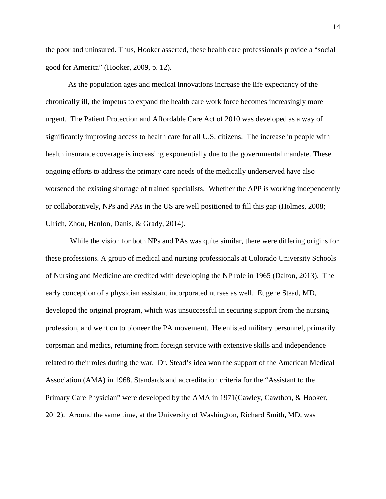the poor and uninsured. Thus, Hooker asserted, these health care professionals provide a "social good for America" (Hooker, 2009, p. 12).

As the population ages and medical innovations increase the life expectancy of the chronically ill, the impetus to expand the health care work force becomes increasingly more urgent. The Patient Protection and Affordable Care Act of 2010 was developed as a way of significantly improving access to health care for all U.S. citizens. The increase in people with health insurance coverage is increasing exponentially due to the governmental mandate. These ongoing efforts to address the primary care needs of the medically underserved have also worsened the existing shortage of trained specialists. Whether the APP is working independently or collaboratively, NPs and PAs in the US are well positioned to fill this gap (Holmes, 2008; Ulrich, Zhou, Hanlon, Danis, & Grady, 2014).

 While the vision for both NPs and PAs was quite similar, there were differing origins for these professions. A group of medical and nursing professionals at Colorado University Schools of Nursing and Medicine are credited with developing the NP role in 1965 (Dalton, 2013). The early conception of a physician assistant incorporated nurses as well. Eugene Stead, MD, developed the original program, which was unsuccessful in securing support from the nursing profession, and went on to pioneer the PA movement. He enlisted military personnel, primarily corpsman and medics, returning from foreign service with extensive skills and independence related to their roles during the war. Dr. Stead's idea won the support of the American Medical Association (AMA) in 1968. Standards and accreditation criteria for the "Assistant to the Primary Care Physician" were developed by the AMA in 1971(Cawley, Cawthon, & Hooker, 2012). Around the same time, at the University of Washington, Richard Smith, MD, was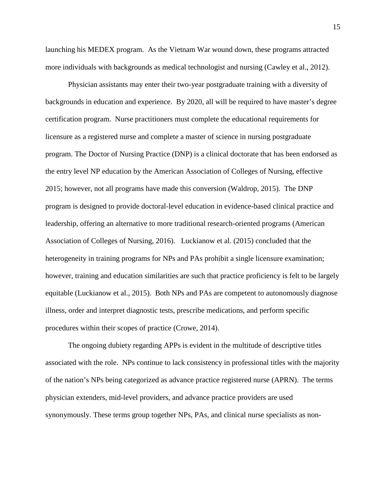launching his MEDEX program. As the Vietnam War wound down, these programs attracted more individuals with backgrounds as medical technologist and nursing (Cawley et al., 2012).

Physician assistants may enter their two-year postgraduate training with a diversity of backgrounds in education and experience. By 2020, all will be required to have master's degree certification program. Nurse practitioners must complete the educational requirements for licensure as a registered nurse and complete a master of science in nursing postgraduate program. The Doctor of Nursing Practice (DNP) is a clinical doctorate that has been endorsed as the entry level NP education by the American Association of Colleges of Nursing, effective 2015; however, not all programs have made this conversion (Waldrop, 2015). The DNP program is designed to provide doctoral-level education in evidence-based clinical practice and leadership, offering an alternative to more traditional research-oriented programs (American Association of Colleges of Nursing, 2016). Luckianow et al. (2015) concluded that the heterogeneity in training programs for NPs and PAs prohibit a single licensure examination; however, training and education similarities are such that practice proficiency is felt to be largely equitable (Luckianow et al., 2015). Both NPs and PAs are competent to autonomously diagnose illness, order and interpret diagnostic tests, prescribe medications, and perform specific procedures within their scopes of practice (Crowe, 2014).

The ongoing dubiety regarding APPs is evident in the multitude of descriptive titles associated with the role. NPs continue to lack consistency in professional titles with the majority of the nation's NPs being categorized as advance practice registered nurse (APRN). The terms physician extenders, mid-level providers, and advance practice providers are used synonymously. These terms group together NPs, PAs, and clinical nurse specialists as non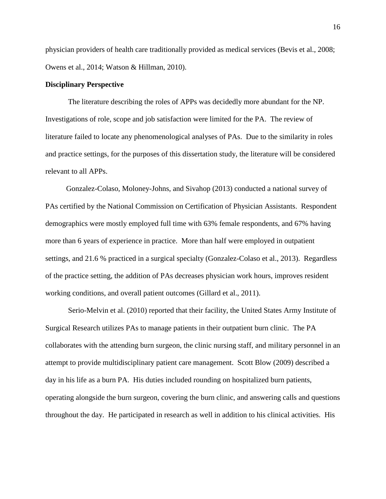physician providers of health care traditionally provided as medical services (Bevis et al., 2008; Owens et al., 2014; Watson & Hillman, 2010).

## **Disciplinary Perspective**

The literature describing the roles of APPs was decidedly more abundant for the NP. Investigations of role, scope and job satisfaction were limited for the PA. The review of literature failed to locate any phenomenological analyses of PAs. Due to the similarity in roles and practice settings, for the purposes of this dissertation study, the literature will be considered relevant to all APPs.

 Gonzalez-Colaso, Moloney-Johns, and Sivahop (2013) conducted a national survey of PAs certified by the National Commission on Certification of Physician Assistants. Respondent demographics were mostly employed full time with 63% female respondents, and 67% having more than 6 years of experience in practice. More than half were employed in outpatient settings, and 21.6 % practiced in a surgical specialty (Gonzalez-Colaso et al., 2013). Regardless of the practice setting, the addition of PAs decreases physician work hours, improves resident working conditions, and overall patient outcomes (Gillard et al., 2011).

Serio-Melvin et al. (2010) reported that their facility, the United States Army Institute of Surgical Research utilizes PAs to manage patients in their outpatient burn clinic. The PA collaborates with the attending burn surgeon, the clinic nursing staff, and military personnel in an attempt to provide multidisciplinary patient care management. Scott Blow (2009) described a day in his life as a burn PA. His duties included rounding on hospitalized burn patients, operating alongside the burn surgeon, covering the burn clinic, and answering calls and questions throughout the day. He participated in research as well in addition to his clinical activities. His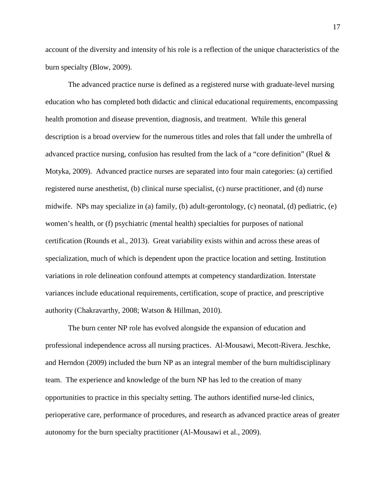account of the diversity and intensity of his role is a reflection of the unique characteristics of the burn specialty (Blow, 2009).

The advanced practice nurse is defined as a registered nurse with graduate-level nursing education who has completed both didactic and clinical educational requirements, encompassing health promotion and disease prevention, diagnosis, and treatment. While this general description is a broad overview for the numerous titles and roles that fall under the umbrella of advanced practice nursing, confusion has resulted from the lack of a "core definition" (Ruel & Motyka, 2009). Advanced practice nurses are separated into four main categories: (a) certified registered nurse anesthetist, (b) clinical nurse specialist, (c) nurse practitioner, and (d) nurse midwife. NPs may specialize in (a) family, (b) adult-gerontology, (c) neonatal, (d) pediatric, (e) women's health, or (f) psychiatric (mental health) specialties for purposes of national certification (Rounds et al., 2013). Great variability exists within and across these areas of specialization, much of which is dependent upon the practice location and setting. Institution variations in role delineation confound attempts at competency standardization. Interstate variances include educational requirements, certification, scope of practice, and prescriptive authority (Chakravarthy, 2008; Watson & Hillman, 2010).

The burn center NP role has evolved alongside the expansion of education and professional independence across all nursing practices. Al-Mousawi, Mecott-Rivera. Jeschke, and Herndon (2009) included the burn NP as an integral member of the burn multidisciplinary team. The experience and knowledge of the burn NP has led to the creation of many opportunities to practice in this specialty setting. The authors identified nurse-led clinics, perioperative care, performance of procedures, and research as advanced practice areas of greater autonomy for the burn specialty practitioner (Al-Mousawi et al., 2009).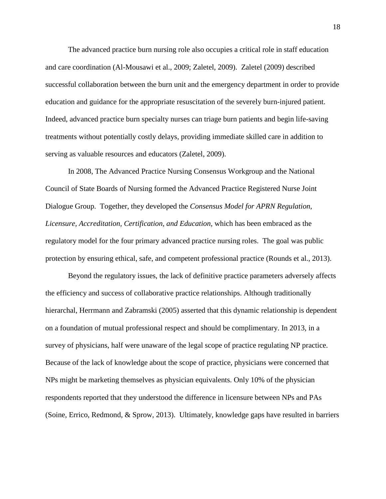The advanced practice burn nursing role also occupies a critical role in staff education and care coordination (Al-Mousawi et al., 2009; Zaletel, 2009). Zaletel (2009) described successful collaboration between the burn unit and the emergency department in order to provide education and guidance for the appropriate resuscitation of the severely burn-injured patient. Indeed, advanced practice burn specialty nurses can triage burn patients and begin life-saving treatments without potentially costly delays, providing immediate skilled care in addition to serving as valuable resources and educators (Zaletel, 2009).

In 2008, The Advanced Practice Nursing Consensus Workgroup and the National Council of State Boards of Nursing formed the Advanced Practice Registered Nurse Joint Dialogue Group. Together, they developed the *Consensus Model for APRN Regulation*, *Licensure, Accreditation, Certification, and Education*, which has been embraced as the regulatory model for the four primary advanced practice nursing roles. The goal was public protection by ensuring ethical, safe, and competent professional practice (Rounds et al., 2013).

 Beyond the regulatory issues, the lack of definitive practice parameters adversely affects the efficiency and success of collaborative practice relationships. Although traditionally hierarchal, Herrmann and Zabramski (2005) asserted that this dynamic relationship is dependent on a foundation of mutual professional respect and should be complimentary. In 2013, in a survey of physicians, half were unaware of the legal scope of practice regulating NP practice. Because of the lack of knowledge about the scope of practice, physicians were concerned that NPs might be marketing themselves as physician equivalents. Only 10% of the physician respondents reported that they understood the difference in licensure between NPs and PAs (Soine, Errico, Redmond, & Sprow, 2013). Ultimately, knowledge gaps have resulted in barriers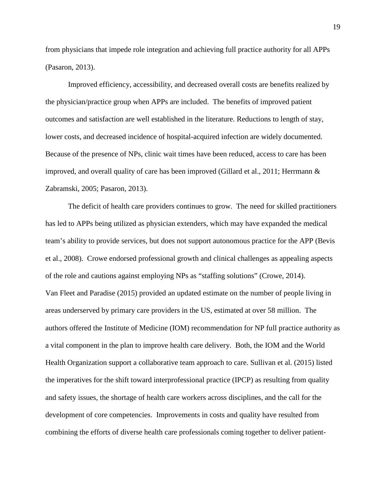from physicians that impede role integration and achieving full practice authority for all APPs (Pasaron, 2013).

Improved efficiency, accessibility, and decreased overall costs are benefits realized by the physician/practice group when APPs are included. The benefits of improved patient outcomes and satisfaction are well established in the literature. Reductions to length of stay, lower costs, and decreased incidence of hospital-acquired infection are widely documented. Because of the presence of NPs, clinic wait times have been reduced, access to care has been improved, and overall quality of care has been improved (Gillard et al., 2011; Herrmann & Zabramski, 2005; Pasaron, 2013).

The deficit of health care providers continues to grow. The need for skilled practitioners has led to APPs being utilized as physician extenders, which may have expanded the medical team's ability to provide services, but does not support autonomous practice for the APP (Bevis et al., 2008). Crowe endorsed professional growth and clinical challenges as appealing aspects of the role and cautions against employing NPs as "staffing solutions" (Crowe, 2014). Van Fleet and Paradise (2015) provided an updated estimate on the number of people living in areas underserved by primary care providers in the US, estimated at over 58 million. The authors offered the Institute of Medicine (IOM) recommendation for NP full practice authority as a vital component in the plan to improve health care delivery. Both, the IOM and the World Health Organization support a collaborative team approach to care. Sullivan et al. (2015) listed the imperatives for the shift toward interprofessional practice (IPCP) as resulting from quality and safety issues, the shortage of health care workers across disciplines, and the call for the development of core competencies. Improvements in costs and quality have resulted from combining the efforts of diverse health care professionals coming together to deliver patient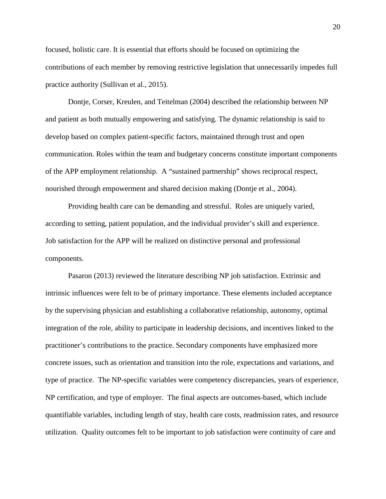focused, holistic care. It is essential that efforts should be focused on optimizing the contributions of each member by removing restrictive legislation that unnecessarily impedes full practice authority (Sullivan et al., 2015).

Dontje, Corser, Kreulen, and Teitelman (2004) described the relationship between NP and patient as both mutually empowering and satisfying. The dynamic relationship is said to develop based on complex patient-specific factors, maintained through trust and open communication. Roles within the team and budgetary concerns constitute important components of the APP employment relationship. A "sustained partnership" shows reciprocal respect, nourished through empowerment and shared decision making (Dontje et al., 2004).

Providing health care can be demanding and stressful. Roles are uniquely varied, according to setting, patient population, and the individual provider's skill and experience. Job satisfaction for the APP will be realized on distinctive personal and professional components.

Pasaron (2013) reviewed the literature describing NP job satisfaction. Extrinsic and intrinsic influences were felt to be of primary importance. These elements included acceptance by the supervising physician and establishing a collaborative relationship, autonomy, optimal integration of the role, ability to participate in leadership decisions, and incentives linked to the practitioner's contributions to the practice. Secondary components have emphasized more concrete issues, such as orientation and transition into the role, expectations and variations, and type of practice. The NP-specific variables were competency discrepancies, years of experience, NP certification, and type of employer. The final aspects are outcomes-based, which include quantifiable variables, including length of stay, health care costs, readmission rates, and resource utilization. Quality outcomes felt to be important to job satisfaction were continuity of care and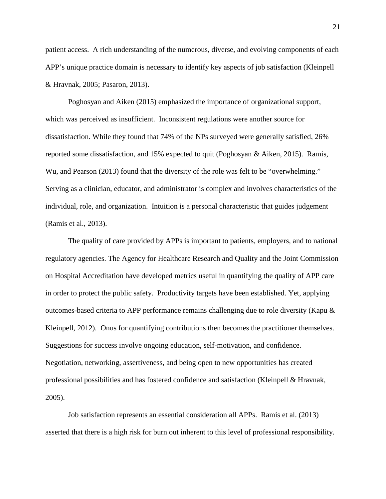patient access. A rich understanding of the numerous, diverse, and evolving components of each APP's unique practice domain is necessary to identify key aspects of job satisfaction (Kleinpell & Hravnak, 2005; Pasaron, 2013).

Poghosyan and Aiken (2015) emphasized the importance of organizational support, which was perceived as insufficient. Inconsistent regulations were another source for dissatisfaction. While they found that 74% of the NPs surveyed were generally satisfied, 26% reported some dissatisfaction, and 15% expected to quit (Poghosyan & Aiken, 2015). Ramis, Wu, and Pearson (2013) found that the diversity of the role was felt to be "overwhelming." Serving as a clinician, educator, and administrator is complex and involves characteristics of the individual, role, and organization. Intuition is a personal characteristic that guides judgement (Ramis et al., 2013).

The quality of care provided by APPs is important to patients, employers, and to national regulatory agencies. The Agency for Healthcare Research and Quality and the Joint Commission on Hospital Accreditation have developed metrics useful in quantifying the quality of APP care in order to protect the public safety. Productivity targets have been established. Yet, applying outcomes-based criteria to APP performance remains challenging due to role diversity (Kapu & Kleinpell, 2012). Onus for quantifying contributions then becomes the practitioner themselves. Suggestions for success involve ongoing education, self-motivation, and confidence. Negotiation, networking, assertiveness, and being open to new opportunities has created professional possibilities and has fostered confidence and satisfaction (Kleinpell & Hravnak, 2005).

Job satisfaction represents an essential consideration all APPs. Ramis et al. (2013) asserted that there is a high risk for burn out inherent to this level of professional responsibility.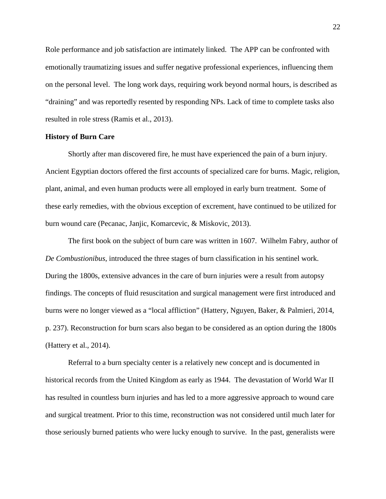Role performance and job satisfaction are intimately linked. The APP can be confronted with emotionally traumatizing issues and suffer negative professional experiences, influencing them on the personal level. The long work days, requiring work beyond normal hours, is described as "draining" and was reportedly resented by responding NPs. Lack of time to complete tasks also resulted in role stress (Ramis et al., 2013).

### **History of Burn Care**

Shortly after man discovered fire, he must have experienced the pain of a burn injury. Ancient Egyptian doctors offered the first accounts of specialized care for burns. Magic, religion, plant, animal, and even human products were all employed in early burn treatment. Some of these early remedies, with the obvious exception of excrement, have continued to be utilized for burn wound care (Pecanac, Janjic, Komarcevic, & Miskovic, 2013).

The first book on the subject of burn care was written in 1607. Wilhelm Fabry, author of *De Combustionibus*, introduced the three stages of burn classification in his sentinel work. During the 1800s, extensive advances in the care of burn injuries were a result from autopsy findings. The concepts of fluid resuscitation and surgical management were first introduced and burns were no longer viewed as a "local affliction" (Hattery, Nguyen, Baker, & Palmieri, 2014, p. 237). Reconstruction for burn scars also began to be considered as an option during the 1800s (Hattery et al., 2014).

Referral to a burn specialty center is a relatively new concept and is documented in historical records from the United Kingdom as early as 1944. The devastation of World War II has resulted in countless burn injuries and has led to a more aggressive approach to wound care and surgical treatment. Prior to this time, reconstruction was not considered until much later for those seriously burned patients who were lucky enough to survive. In the past, generalists were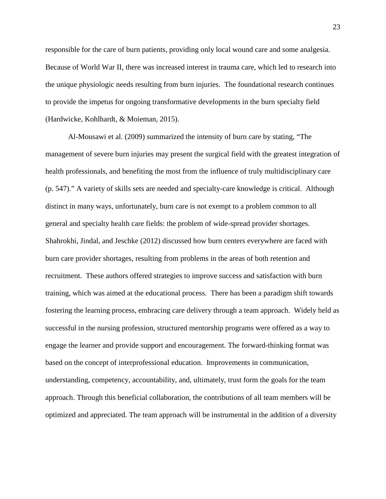responsible for the care of burn patients, providing only local wound care and some analgesia. Because of World War II, there was increased interest in trauma care, which led to research into the unique physiologic needs resulting from burn injuries. The foundational research continues to provide the impetus for ongoing transformative developments in the burn specialty field (Hardwicke, Kohlhardt, & Moieman, 2015).

Al-Mousawi et al. (2009) summarized the intensity of burn care by stating, "The management of severe burn injuries may present the surgical field with the greatest integration of health professionals, and benefiting the most from the influence of truly multidisciplinary care (p. 547)." A variety of skills sets are needed and specialty-care knowledge is critical. Although distinct in many ways, unfortunately, burn care is not exempt to a problem common to all general and specialty health care fields: the problem of wide-spread provider shortages. Shahrokhi, Jindal, and Jeschke (2012) discussed how burn centers everywhere are faced with burn care provider shortages, resulting from problems in the areas of both retention and recruitment. These authors offered strategies to improve success and satisfaction with burn training, which was aimed at the educational process. There has been a paradigm shift towards fostering the learning process, embracing care delivery through a team approach. Widely held as successful in the nursing profession, structured mentorship programs were offered as a way to engage the learner and provide support and encouragement. The forward-thinking format was based on the concept of interprofessional education. Improvements in communication, understanding, competency, accountability, and, ultimately, trust form the goals for the team approach. Through this beneficial collaboration, the contributions of all team members will be optimized and appreciated. The team approach will be instrumental in the addition of a diversity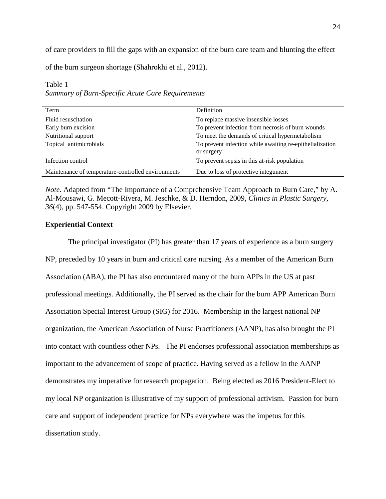of care providers to fill the gaps with an expansion of the burn care team and blunting the effect

of the burn surgeon shortage (Shahrokhi et al., 2012).

| Term                                               | Definition                                                             |
|----------------------------------------------------|------------------------------------------------------------------------|
| Fluid resuscitation                                | To replace massive insensible losses                                   |
| Early burn excision                                | To prevent infection from necrosis of burn wounds                      |
| Nutritional support                                | To meet the demands of critical hypermetabolism                        |
| Topical antimicrobials                             | To prevent infection while awaiting re-epithelialization<br>or surgery |
| Infection control                                  | To prevent sepsis in this at-risk population                           |
| Maintenance of temperature-controlled environments | Due to loss of protective integument                                   |

## Table 1 *Summary of Burn-Specific Acute Care Requirements*

*Note.* Adapted from "The Importance of a Comprehensive Team Approach to Burn Care," by A. Al-Mousawi, G. Mecott-Rivera, M. Jeschke, & D. Herndon, 2009, *Clinics in Plastic Surgery, 36*(4), pp. 547-554. Copyright 2009 by Elsevier.

## **Experiential Context**

The principal investigator (PI) has greater than 17 years of experience as a burn surgery NP, preceded by 10 years in burn and critical care nursing. As a member of the American Burn Association (ABA), the PI has also encountered many of the burn APPs in the US at past professional meetings. Additionally, the PI served as the chair for the burn APP American Burn Association Special Interest Group (SIG) for 2016. Membership in the largest national NP organization, the American Association of Nurse Practitioners (AANP), has also brought the PI into contact with countless other NPs. The PI endorses professional association memberships as important to the advancement of scope of practice. Having served as a fellow in the AANP demonstrates my imperative for research propagation. Being elected as 2016 President-Elect to my local NP organization is illustrative of my support of professional activism. Passion for burn care and support of independent practice for NPs everywhere was the impetus for this dissertation study.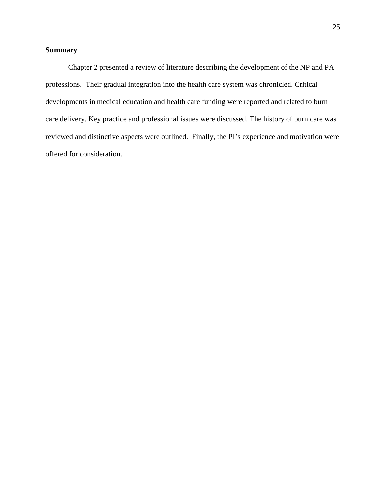# **Summary**

Chapter 2 presented a review of literature describing the development of the NP and PA professions. Their gradual integration into the health care system was chronicled. Critical developments in medical education and health care funding were reported and related to burn care delivery. Key practice and professional issues were discussed. The history of burn care was reviewed and distinctive aspects were outlined. Finally, the PI's experience and motivation were offered for consideration.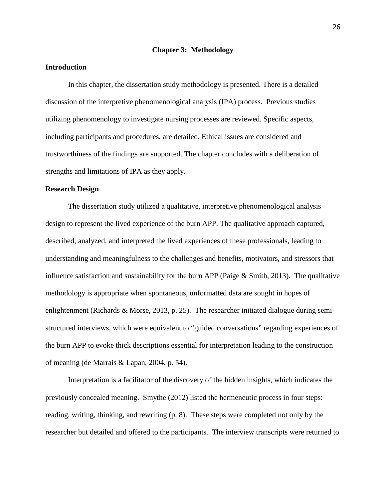#### **Chapter 3: Methodology**

## **Introduction**

In this chapter, the dissertation study methodology is presented. There is a detailed discussion of the interpretive phenomenological analysis (IPA) process. Previous studies utilizing phenomenology to investigate nursing processes are reviewed. Specific aspects, including participants and procedures, are detailed. Ethical issues are considered and trustworthiness of the findings are supported. The chapter concludes with a deliberation of strengths and limitations of IPA as they apply.

## **Research Design**

The dissertation study utilized a qualitative, interpretive phenomenological analysis design to represent the lived experience of the burn APP. The qualitative approach captured, described, analyzed, and interpreted the lived experiences of these professionals, leading to understanding and meaningfulness to the challenges and benefits, motivators, and stressors that influence satisfaction and sustainability for the burn APP (Paige  $\&$  Smith, 2013). The qualitative methodology is appropriate when spontaneous, unformatted data are sought in hopes of enlightenment (Richards & Morse, 2013, p. 25). The researcher initiated dialogue during semistructured interviews, which were equivalent to "guided conversations" regarding experiences of the burn APP to evoke thick descriptions essential for interpretation leading to the construction of meaning (de Marrais & Lapan, 2004, p. 54).

Interpretation is a facilitator of the discovery of the hidden insights, which indicates the previously concealed meaning. Smythe (2012) listed the hermeneutic process in four steps: reading, writing, thinking, and rewriting (p. 8). These steps were completed not only by the researcher but detailed and offered to the participants. The interview transcripts were returned to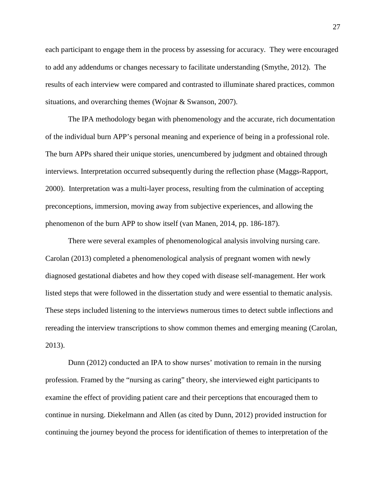each participant to engage them in the process by assessing for accuracy. They were encouraged to add any addendums or changes necessary to facilitate understanding (Smythe, 2012). The results of each interview were compared and contrasted to illuminate shared practices, common situations, and overarching themes (Wojnar & Swanson, 2007).

The IPA methodology began with phenomenology and the accurate, rich documentation of the individual burn APP's personal meaning and experience of being in a professional role. The burn APPs shared their unique stories, unencumbered by judgment and obtained through interviews. Interpretation occurred subsequently during the reflection phase (Maggs-Rapport, 2000). Interpretation was a multi-layer process, resulting from the culmination of accepting preconceptions, immersion, moving away from subjective experiences, and allowing the phenomenon of the burn APP to show itself (van Manen, 2014, pp. 186-187).

There were several examples of phenomenological analysis involving nursing care. Carolan (2013) completed a phenomenological analysis of pregnant women with newly diagnosed gestational diabetes and how they coped with disease self-management. Her work listed steps that were followed in the dissertation study and were essential to thematic analysis. These steps included listening to the interviews numerous times to detect subtle inflections and rereading the interview transcriptions to show common themes and emerging meaning (Carolan, 2013).

Dunn (2012) conducted an IPA to show nurses' motivation to remain in the nursing profession. Framed by the "nursing as caring" theory, she interviewed eight participants to examine the effect of providing patient care and their perceptions that encouraged them to continue in nursing. Diekelmann and Allen (as cited by Dunn, 2012) provided instruction for continuing the journey beyond the process for identification of themes to interpretation of the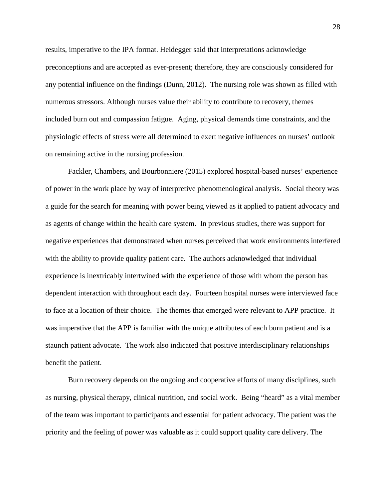results, imperative to the IPA format. Heidegger said that interpretations acknowledge preconceptions and are accepted as ever-present; therefore, they are consciously considered for any potential influence on the findings (Dunn, 2012). The nursing role was shown as filled with numerous stressors. Although nurses value their ability to contribute to recovery, themes included burn out and compassion fatigue. Aging, physical demands time constraints, and the physiologic effects of stress were all determined to exert negative influences on nurses' outlook on remaining active in the nursing profession.

Fackler, Chambers, and Bourbonniere (2015) explored hospital-based nurses' experience of power in the work place by way of interpretive phenomenological analysis. Social theory was a guide for the search for meaning with power being viewed as it applied to patient advocacy and as agents of change within the health care system. In previous studies, there was support for negative experiences that demonstrated when nurses perceived that work environments interfered with the ability to provide quality patient care. The authors acknowledged that individual experience is inextricably intertwined with the experience of those with whom the person has dependent interaction with throughout each day. Fourteen hospital nurses were interviewed face to face at a location of their choice. The themes that emerged were relevant to APP practice. It was imperative that the APP is familiar with the unique attributes of each burn patient and is a staunch patient advocate. The work also indicated that positive interdisciplinary relationships benefit the patient.

Burn recovery depends on the ongoing and cooperative efforts of many disciplines, such as nursing, physical therapy, clinical nutrition, and social work. Being "heard" as a vital member of the team was important to participants and essential for patient advocacy. The patient was the priority and the feeling of power was valuable as it could support quality care delivery. The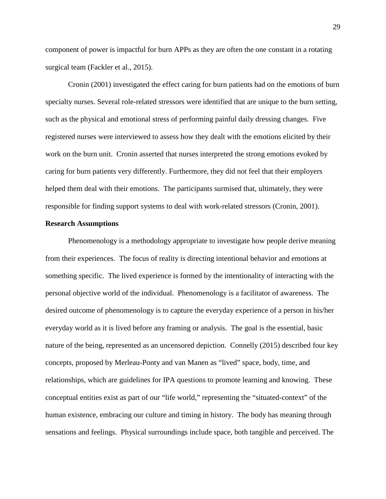component of power is impactful for burn APPs as they are often the one constant in a rotating surgical team (Fackler et al., 2015).

Cronin (2001) investigated the effect caring for burn patients had on the emotions of burn specialty nurses. Several role-related stressors were identified that are unique to the burn setting, such as the physical and emotional stress of performing painful daily dressing changes. Five registered nurses were interviewed to assess how they dealt with the emotions elicited by their work on the burn unit. Cronin asserted that nurses interpreted the strong emotions evoked by caring for burn patients very differently. Furthermore, they did not feel that their employers helped them deal with their emotions. The participants surmised that, ultimately, they were responsible for finding support systems to deal with work-related stressors (Cronin, 2001).

## **Research Assumptions**

Phenomenology is a methodology appropriate to investigate how people derive meaning from their experiences. The focus of reality is directing intentional behavior and emotions at something specific. The lived experience is formed by the intentionality of interacting with the personal objective world of the individual. Phenomenology is a facilitator of awareness. The desired outcome of phenomenology is to capture the everyday experience of a person in his/her everyday world as it is lived before any framing or analysis. The goal is the essential, basic nature of the being, represented as an uncensored depiction. Connelly (2015) described four key concepts, proposed by Merleau-Ponty and van Manen as "lived" space, body, time, and relationships, which are guidelines for IPA questions to promote learning and knowing. These conceptual entities exist as part of our "life world," representing the "situated-context" of the human existence, embracing our culture and timing in history. The body has meaning through sensations and feelings. Physical surroundings include space, both tangible and perceived. The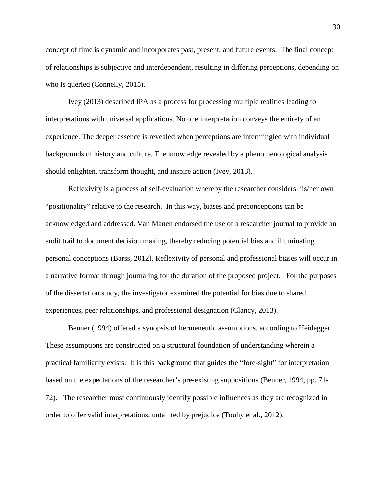concept of time is dynamic and incorporates past, present, and future events. The final concept of relationships is subjective and interdependent, resulting in differing perceptions, depending on who is queried (Connelly, 2015).

Ivey (2013) described IPA as a process for processing multiple realities leading to interpretations with universal applications. No one interpretation conveys the entirety of an experience. The deeper essence is revealed when perceptions are intermingled with individual backgrounds of history and culture. The knowledge revealed by a phenomenological analysis should enlighten, transform thought, and inspire action (Ivey, 2013).

Reflexivity is a process of self-evaluation whereby the researcher considers his/her own "positionality" relative to the research. In this way, biases and preconceptions can be acknowledged and addressed. Van Manen endorsed the use of a researcher journal to provide an audit trail to document decision making, thereby reducing potential bias and illuminating personal conceptions (Barss, 2012). Reflexivity of personal and professional biases will occur in a narrative format through journaling for the duration of the proposed project. For the purposes of the dissertation study, the investigator examined the potential for bias due to shared experiences, peer relationships, and professional designation (Clancy, 2013).

Benner (1994) offered a synopsis of hermeneutic assumptions, according to Heidegger. These assumptions are constructed on a structural foundation of understanding wherein a practical familiarity exists. It is this background that guides the "fore-sight" for interpretation based on the expectations of the researcher's pre-existing suppositions (Benner, 1994, pp. 71- 72). The researcher must continuously identify possible influences as they are recognized in order to offer valid interpretations, untainted by prejudice (Touhy et al., 2012).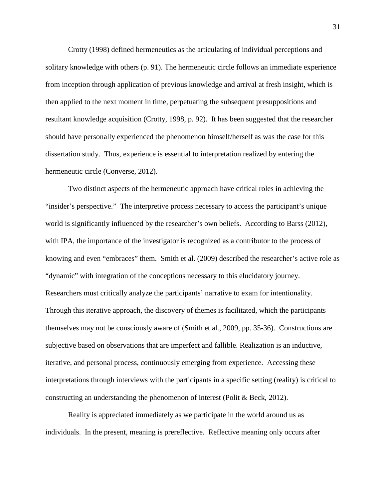Crotty (1998) defined hermeneutics as the articulating of individual perceptions and solitary knowledge with others (p. 91). The hermeneutic circle follows an immediate experience from inception through application of previous knowledge and arrival at fresh insight, which is then applied to the next moment in time, perpetuating the subsequent presuppositions and resultant knowledge acquisition (Crotty, 1998, p. 92). It has been suggested that the researcher should have personally experienced the phenomenon himself/herself as was the case for this dissertation study. Thus, experience is essential to interpretation realized by entering the hermeneutic circle (Converse, 2012).

Two distinct aspects of the hermeneutic approach have critical roles in achieving the "insider's perspective." The interpretive process necessary to access the participant's unique world is significantly influenced by the researcher's own beliefs. According to Barss (2012), with IPA, the importance of the investigator is recognized as a contributor to the process of knowing and even "embraces" them. Smith et al. (2009) described the researcher's active role as "dynamic" with integration of the conceptions necessary to this elucidatory journey. Researchers must critically analyze the participants' narrative to exam for intentionality. Through this iterative approach, the discovery of themes is facilitated, which the participants themselves may not be consciously aware of (Smith et al., 2009, pp. 35-36). Constructions are subjective based on observations that are imperfect and fallible. Realization is an inductive, iterative, and personal process, continuously emerging from experience. Accessing these interpretations through interviews with the participants in a specific setting (reality) is critical to constructing an understanding the phenomenon of interest (Polit & Beck, 2012).

Reality is appreciated immediately as we participate in the world around us as individuals. In the present, meaning is prereflective. Reflective meaning only occurs after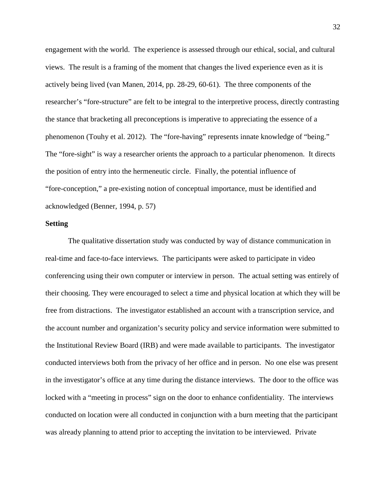engagement with the world. The experience is assessed through our ethical, social, and cultural views. The result is a framing of the moment that changes the lived experience even as it is actively being lived (van Manen, 2014, pp. 28-29, 60-61). The three components of the researcher's "fore-structure" are felt to be integral to the interpretive process, directly contrasting the stance that bracketing all preconceptions is imperative to appreciating the essence of a phenomenon (Touhy et al. 2012). The "fore-having" represents innate knowledge of "being." The "fore-sight" is way a researcher orients the approach to a particular phenomenon. It directs the position of entry into the hermeneutic circle. Finally, the potential influence of "fore-conception," a pre-existing notion of conceptual importance, must be identified and acknowledged (Benner, 1994, p. 57)

# **Setting**

The qualitative dissertation study was conducted by way of distance communication in real-time and face-to-face interviews. The participants were asked to participate in video conferencing using their own computer or interview in person. The actual setting was entirely of their choosing. They were encouraged to select a time and physical location at which they will be free from distractions. The investigator established an account with a transcription service, and the account number and organization's security policy and service information were submitted to the Institutional Review Board (IRB) and were made available to participants. The investigator conducted interviews both from the privacy of her office and in person. No one else was present in the investigator's office at any time during the distance interviews. The door to the office was locked with a "meeting in process" sign on the door to enhance confidentiality. The interviews conducted on location were all conducted in conjunction with a burn meeting that the participant was already planning to attend prior to accepting the invitation to be interviewed. Private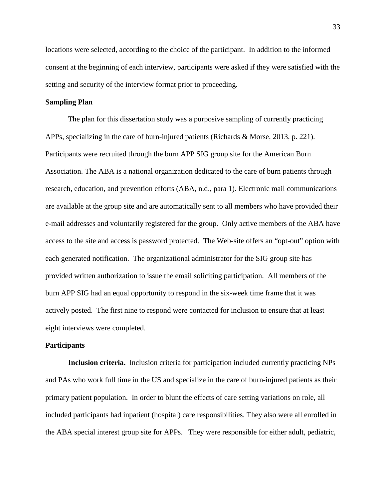locations were selected, according to the choice of the participant. In addition to the informed consent at the beginning of each interview, participants were asked if they were satisfied with the setting and security of the interview format prior to proceeding.

# **Sampling Plan**

The plan for this dissertation study was a purposive sampling of currently practicing APPs, specializing in the care of burn-injured patients (Richards & Morse, 2013, p. 221). Participants were recruited through the burn APP SIG group site for the American Burn Association. The ABA is a national organization dedicated to the care of burn patients through research, education, and prevention efforts (ABA, n.d., para 1). Electronic mail communications are available at the group site and are automatically sent to all members who have provided their e-mail addresses and voluntarily registered for the group. Only active members of the ABA have access to the site and access is password protected. The Web-site offers an "opt-out" option with each generated notification. The organizational administrator for the SIG group site has provided written authorization to issue the email soliciting participation. All members of the burn APP SIG had an equal opportunity to respond in the six-week time frame that it was actively posted. The first nine to respond were contacted for inclusion to ensure that at least eight interviews were completed.

# **Participants**

**Inclusion criteria.** Inclusion criteria for participation included currently practicing NPs and PAs who work full time in the US and specialize in the care of burn-injured patients as their primary patient population. In order to blunt the effects of care setting variations on role, all included participants had inpatient (hospital) care responsibilities. They also were all enrolled in the ABA special interest group site for APPs. They were responsible for either adult, pediatric,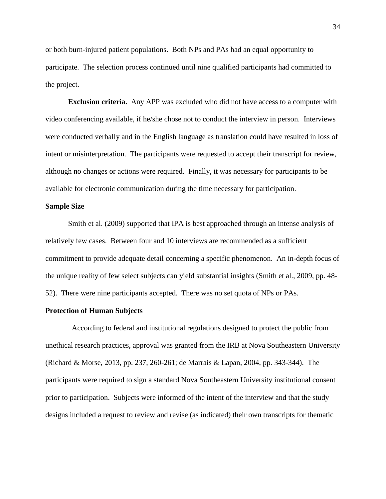or both burn-injured patient populations. Both NPs and PAs had an equal opportunity to participate. The selection process continued until nine qualified participants had committed to the project.

**Exclusion criteria.** Any APP was excluded who did not have access to a computer with video conferencing available, if he/she chose not to conduct the interview in person. Interviews were conducted verbally and in the English language as translation could have resulted in loss of intent or misinterpretation. The participants were requested to accept their transcript for review, although no changes or actions were required. Finally, it was necessary for participants to be available for electronic communication during the time necessary for participation.

# **Sample Size**

Smith et al. (2009) supported that IPA is best approached through an intense analysis of relatively few cases. Between four and 10 interviews are recommended as a sufficient commitment to provide adequate detail concerning a specific phenomenon. An in-depth focus of the unique reality of few select subjects can yield substantial insights (Smith et al., 2009, pp. 48- 52). There were nine participants accepted. There was no set quota of NPs or PAs.

#### **Protection of Human Subjects**

 According to federal and institutional regulations designed to protect the public from unethical research practices, approval was granted from the IRB at Nova Southeastern University (Richard & Morse, 2013, pp. 237, 260-261; de Marrais & Lapan, 2004, pp. 343-344). The participants were required to sign a standard Nova Southeastern University institutional consent prior to participation. Subjects were informed of the intent of the interview and that the study designs included a request to review and revise (as indicated) their own transcripts for thematic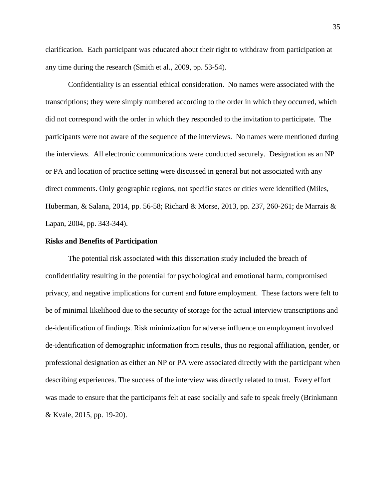clarification. Each participant was educated about their right to withdraw from participation at any time during the research (Smith et al., 2009, pp. 53-54).

Confidentiality is an essential ethical consideration. No names were associated with the transcriptions; they were simply numbered according to the order in which they occurred, which did not correspond with the order in which they responded to the invitation to participate. The participants were not aware of the sequence of the interviews. No names were mentioned during the interviews. All electronic communications were conducted securely. Designation as an NP or PA and location of practice setting were discussed in general but not associated with any direct comments. Only geographic regions, not specific states or cities were identified (Miles, Huberman, & Salana, 2014, pp. 56-58; Richard & Morse, 2013, pp. 237, 260-261; de Marrais & Lapan, 2004, pp. 343-344).

### **Risks and Benefits of Participation**

The potential risk associated with this dissertation study included the breach of confidentiality resulting in the potential for psychological and emotional harm, compromised privacy, and negative implications for current and future employment. These factors were felt to be of minimal likelihood due to the security of storage for the actual interview transcriptions and de-identification of findings. Risk minimization for adverse influence on employment involved de-identification of demographic information from results, thus no regional affiliation, gender, or professional designation as either an NP or PA were associated directly with the participant when describing experiences. The success of the interview was directly related to trust. Every effort was made to ensure that the participants felt at ease socially and safe to speak freely (Brinkmann & Kvale, 2015, pp. 19-20).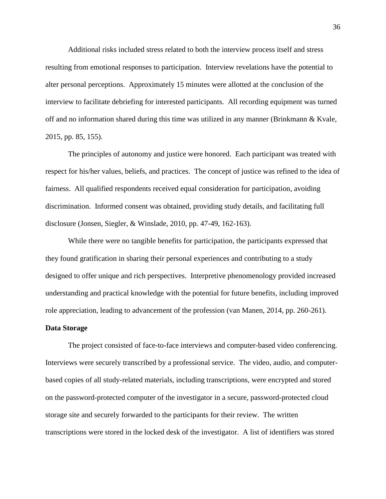Additional risks included stress related to both the interview process itself and stress resulting from emotional responses to participation. Interview revelations have the potential to alter personal perceptions. Approximately 15 minutes were allotted at the conclusion of the interview to facilitate debriefing for interested participants. All recording equipment was turned off and no information shared during this time was utilized in any manner (Brinkmann & Kvale, 2015, pp. 85, 155).

The principles of autonomy and justice were honored. Each participant was treated with respect for his/her values, beliefs, and practices. The concept of justice was refined to the idea of fairness. All qualified respondents received equal consideration for participation, avoiding discrimination. Informed consent was obtained, providing study details, and facilitating full disclosure (Jonsen, Siegler, & Winslade, 2010, pp. 47-49, 162-163).

While there were no tangible benefits for participation, the participants expressed that they found gratification in sharing their personal experiences and contributing to a study designed to offer unique and rich perspectives. Interpretive phenomenology provided increased understanding and practical knowledge with the potential for future benefits, including improved role appreciation, leading to advancement of the profession (van Manen, 2014, pp. 260-261).

# **Data Storage**

The project consisted of face-to-face interviews and computer-based video conferencing. Interviews were securely transcribed by a professional service. The video, audio, and computerbased copies of all study-related materials, including transcriptions, were encrypted and stored on the password-protected computer of the investigator in a secure, password-protected cloud storage site and securely forwarded to the participants for their review. The written transcriptions were stored in the locked desk of the investigator. A list of identifiers was stored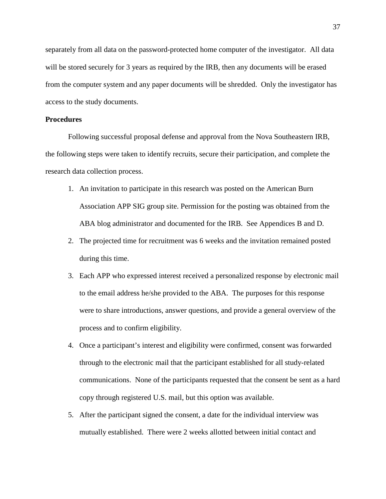separately from all data on the password-protected home computer of the investigator. All data will be stored securely for 3 years as required by the IRB, then any documents will be erased from the computer system and any paper documents will be shredded. Only the investigator has access to the study documents.

# **Procedures**

Following successful proposal defense and approval from the Nova Southeastern IRB, the following steps were taken to identify recruits, secure their participation, and complete the research data collection process.

- 1. An invitation to participate in this research was posted on the American Burn Association APP SIG group site. Permission for the posting was obtained from the ABA blog administrator and documented for the IRB. See Appendices B and D.
- 2. The projected time for recruitment was 6 weeks and the invitation remained posted during this time.
- 3. Each APP who expressed interest received a personalized response by electronic mail to the email address he/she provided to the ABA. The purposes for this response were to share introductions, answer questions, and provide a general overview of the process and to confirm eligibility.
- 4. Once a participant's interest and eligibility were confirmed, consent was forwarded through to the electronic mail that the participant established for all study-related communications. None of the participants requested that the consent be sent as a hard copy through registered U.S. mail, but this option was available.
- 5. After the participant signed the consent, a date for the individual interview was mutually established. There were 2 weeks allotted between initial contact and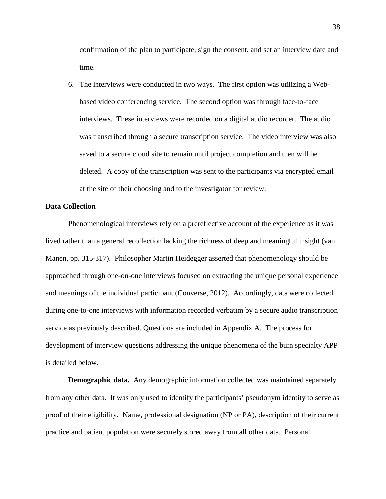confirmation of the plan to participate, sign the consent, and set an interview date and time.

6. The interviews were conducted in two ways. The first option was utilizing a Webbased video conferencing service. The second option was through face-to-face interviews. These interviews were recorded on a digital audio recorder. The audio was transcribed through a secure transcription service. The video interview was also saved to a secure cloud site to remain until project completion and then will be deleted. A copy of the transcription was sent to the participants via encrypted email at the site of their choosing and to the investigator for review.

### **Data Collection**

Phenomenological interviews rely on a prereflective account of the experience as it was lived rather than a general recollection lacking the richness of deep and meaningful insight (van Manen, pp. 315-317). Philosopher Martin Heidegger asserted that phenomenology should be approached through one-on-one interviews focused on extracting the unique personal experience and meanings of the individual participant (Converse, 2012). Accordingly, data were collected during one-to-one interviews with information recorded verbatim by a secure audio transcription service as previously described. Questions are included in Appendix A. The process for development of interview questions addressing the unique phenomena of the burn specialty APP is detailed below.

**Demographic data.** Any demographic information collected was maintained separately from any other data. It was only used to identify the participants' pseudonym identity to serve as proof of their eligibility. Name, professional designation (NP or PA), description of their current practice and patient population were securely stored away from all other data. Personal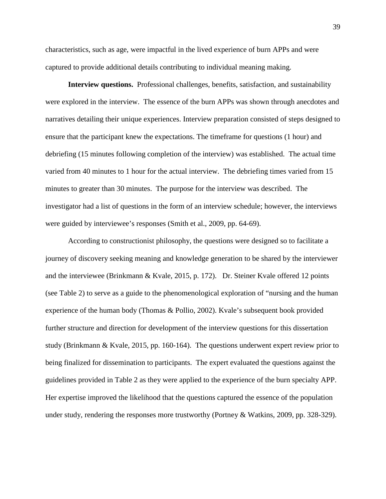characteristics, such as age, were impactful in the lived experience of burn APPs and were captured to provide additional details contributing to individual meaning making.

**Interview questions.** Professional challenges, benefits, satisfaction, and sustainability were explored in the interview. The essence of the burn APPs was shown through anecdotes and narratives detailing their unique experiences. Interview preparation consisted of steps designed to ensure that the participant knew the expectations. The timeframe for questions (1 hour) and debriefing (15 minutes following completion of the interview) was established. The actual time varied from 40 minutes to 1 hour for the actual interview. The debriefing times varied from 15 minutes to greater than 30 minutes. The purpose for the interview was described. The investigator had a list of questions in the form of an interview schedule; however, the interviews were guided by interviewee's responses (Smith et al., 2009, pp. 64-69).

According to constructionist philosophy, the questions were designed so to facilitate a journey of discovery seeking meaning and knowledge generation to be shared by the interviewer and the interviewee (Brinkmann & Kvale, 2015, p. 172). Dr. Steiner Kvale offered 12 points (see Table 2) to serve as a guide to the phenomenological exploration of "nursing and the human experience of the human body (Thomas & Pollio, 2002). Kvale's subsequent book provided further structure and direction for development of the interview questions for this dissertation study (Brinkmann & Kvale, 2015, pp. 160-164). The questions underwent expert review prior to being finalized for dissemination to participants. The expert evaluated the questions against the guidelines provided in Table 2 as they were applied to the experience of the burn specialty APP. Her expertise improved the likelihood that the questions captured the essence of the population under study, rendering the responses more trustworthy (Portney & Watkins, 2009, pp. 328-329).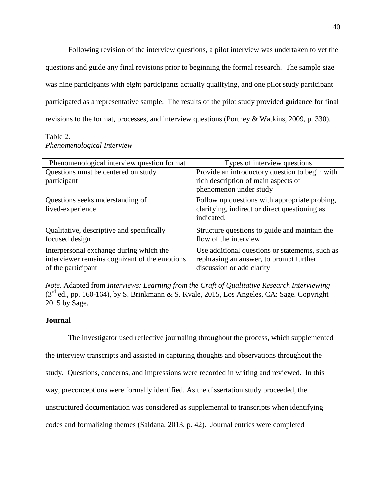Following revision of the interview questions, a pilot interview was undertaken to vet the questions and guide any final revisions prior to beginning the formal research. The sample size was nine participants with eight participants actually qualifying, and one pilot study participant participated as a representative sample. The results of the pilot study provided guidance for final revisions to the format, processes, and interview questions (Portney & Watkins, 2009, p. 330).

# Table 2. *Phenomenological Interview*

| Phenomenological interview question format                                                                     | Types of interview questions                                                                                            |
|----------------------------------------------------------------------------------------------------------------|-------------------------------------------------------------------------------------------------------------------------|
| Questions must be centered on study<br>participant                                                             | Provide an introductory question to begin with<br>rich description of main aspects of<br>phenomenon under study         |
| Questions seeks understanding of<br>lived-experience                                                           | Follow up questions with appropriate probing,<br>clarifying, indirect or direct questioning as<br>indicated.            |
| Qualitative, descriptive and specifically<br>focused design                                                    | Structure questions to guide and maintain the<br>flow of the interview                                                  |
| Interpersonal exchange during which the<br>interviewer remains cognizant of the emotions<br>of the participant | Use additional questions or statements, such as<br>rephrasing an answer, to prompt further<br>discussion or add clarity |

*Note*. Adapted from *Interviews: Learning from the Craft of Qualitative Research Interviewing*  $(3<sup>rd</sup>$  ed., pp. 160-164), by S. Brinkmann & S. Kvale, 2015, Los Angeles, CA: Sage. Copyright 2015 by Sage.

# **Journal**

The investigator used reflective journaling throughout the process, which supplemented the interview transcripts and assisted in capturing thoughts and observations throughout the study. Questions, concerns, and impressions were recorded in writing and reviewed. In this way, preconceptions were formally identified. As the dissertation study proceeded, the unstructured documentation was considered as supplemental to transcripts when identifying codes and formalizing themes (Saldana, 2013, p. 42). Journal entries were completed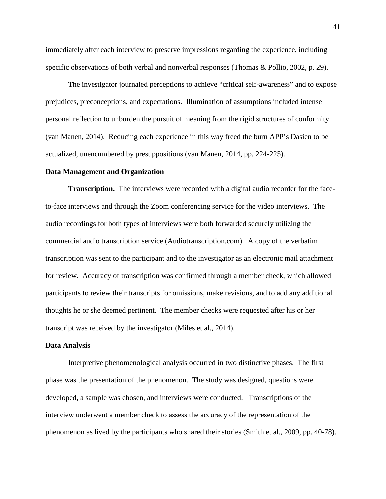immediately after each interview to preserve impressions regarding the experience, including specific observations of both verbal and nonverbal responses (Thomas & Pollio, 2002, p. 29).

The investigator journaled perceptions to achieve "critical self-awareness" and to expose prejudices, preconceptions, and expectations. Illumination of assumptions included intense personal reflection to unburden the pursuit of meaning from the rigid structures of conformity (van Manen, 2014). Reducing each experience in this way freed the burn APP's Dasien to be actualized, unencumbered by presuppositions (van Manen, 2014, pp. 224-225).

#### **Data Management and Organization**

**Transcription.** The interviews were recorded with a digital audio recorder for the faceto-face interviews and through the Zoom conferencing service for the video interviews. The audio recordings for both types of interviews were both forwarded securely utilizing the commercial audio transcription service (Audiotranscription.com). A copy of the verbatim transcription was sent to the participant and to the investigator as an electronic mail attachment for review. Accuracy of transcription was confirmed through a member check, which allowed participants to review their transcripts for omissions, make revisions, and to add any additional thoughts he or she deemed pertinent. The member checks were requested after his or her transcript was received by the investigator (Miles et al., 2014).

#### **Data Analysis**

Interpretive phenomenological analysis occurred in two distinctive phases. The first phase was the presentation of the phenomenon. The study was designed, questions were developed, a sample was chosen, and interviews were conducted. Transcriptions of the interview underwent a member check to assess the accuracy of the representation of the phenomenon as lived by the participants who shared their stories (Smith et al., 2009, pp. 40-78).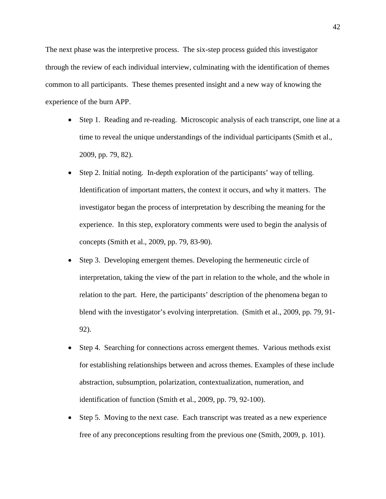The next phase was the interpretive process. The six-step process guided this investigator through the review of each individual interview, culminating with the identification of themes common to all participants. These themes presented insight and a new way of knowing the experience of the burn APP.

- Step 1. Reading and re-reading.Microscopic analysis of each transcript, one line at a time to reveal the unique understandings of the individual participants (Smith et al., 2009, pp. 79, 82).
- Step 2. Initial noting. In-depth exploration of the participants' way of telling. Identification of important matters, the context it occurs, and why it matters. The investigator began the process of interpretation by describing the meaning for the experience. In this step, exploratory comments were used to begin the analysis of concepts (Smith et al., 2009, pp. 79, 83-90).
- Step 3. Developing emergent themes. Developing the hermeneutic circle of interpretation, taking the view of the part in relation to the whole, and the whole in relation to the part. Here, the participants' description of the phenomena began to blend with the investigator's evolving interpretation. (Smith et al., 2009, pp. 79, 91- 92).
- Step 4. Searching for connections across emergent themes.Various methods exist for establishing relationships between and across themes. Examples of these include abstraction, subsumption, polarization, contextualization, numeration, and identification of function (Smith et al., 2009, pp. 79, 92-100).
- Step 5. Moving to the next case.Each transcript was treated as a new experience free of any preconceptions resulting from the previous one (Smith, 2009, p. 101).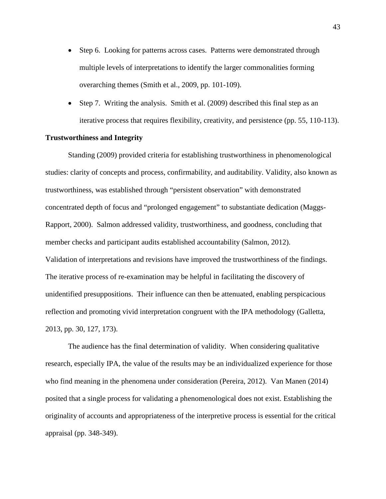- Step 6. Looking for patterns across cases.Patterns were demonstrated through multiple levels of interpretations to identify the larger commonalities forming overarching themes (Smith et al., 2009, pp. 101-109).
- Step 7. Writing the analysis. Smith et al. (2009) described this final step as an iterative process that requires flexibility, creativity, and persistence (pp. 55, 110-113).

### **Trustworthiness and Integrity**

Standing (2009) provided criteria for establishing trustworthiness in phenomenological studies: clarity of concepts and process, confirmability, and auditability. Validity, also known as trustworthiness, was established through "persistent observation" with demonstrated concentrated depth of focus and "prolonged engagement" to substantiate dedication (Maggs-Rapport, 2000). Salmon addressed validity, trustworthiness, and goodness, concluding that member checks and participant audits established accountability (Salmon, 2012). Validation of interpretations and revisions have improved the trustworthiness of the findings. The iterative process of re-examination may be helpful in facilitating the discovery of unidentified presuppositions. Their influence can then be attenuated, enabling perspicacious reflection and promoting vivid interpretation congruent with the IPA methodology (Galletta, 2013, pp. 30, 127, 173).

The audience has the final determination of validity. When considering qualitative research, especially IPA, the value of the results may be an individualized experience for those who find meaning in the phenomena under consideration (Pereira, 2012). Van Manen (2014) posited that a single process for validating a phenomenological does not exist. Establishing the originality of accounts and appropriateness of the interpretive process is essential for the critical appraisal (pp. 348-349).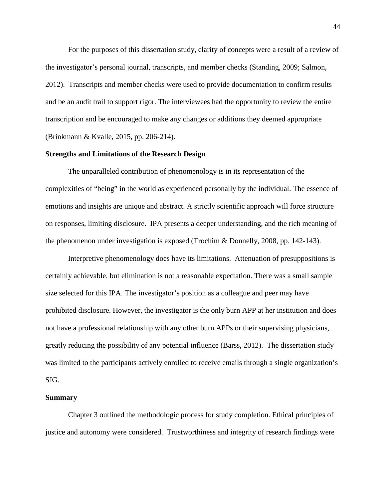For the purposes of this dissertation study, clarity of concepts were a result of a review of the investigator's personal journal, transcripts, and member checks (Standing, 2009; Salmon, 2012). Transcripts and member checks were used to provide documentation to confirm results and be an audit trail to support rigor. The interviewees had the opportunity to review the entire transcription and be encouraged to make any changes or additions they deemed appropriate (Brinkmann & Kvalle, 2015, pp. 206-214).

### **Strengths and Limitations of the Research Design**

The unparalleled contribution of phenomenology is in its representation of the complexities of "being" in the world as experienced personally by the individual. The essence of emotions and insights are unique and abstract. A strictly scientific approach will force structure on responses, limiting disclosure. IPA presents a deeper understanding, and the rich meaning of the phenomenon under investigation is exposed (Trochim & Donnelly, 2008, pp. 142-143).

Interpretive phenomenology does have its limitations. Attenuation of presuppositions is certainly achievable, but elimination is not a reasonable expectation. There was a small sample size selected for this IPA. The investigator's position as a colleague and peer may have prohibited disclosure. However, the investigator is the only burn APP at her institution and does not have a professional relationship with any other burn APPs or their supervising physicians, greatly reducing the possibility of any potential influence (Barss, 2012). The dissertation study was limited to the participants actively enrolled to receive emails through a single organization's SIG.

#### **Summary**

Chapter 3 outlined the methodologic process for study completion. Ethical principles of justice and autonomy were considered. Trustworthiness and integrity of research findings were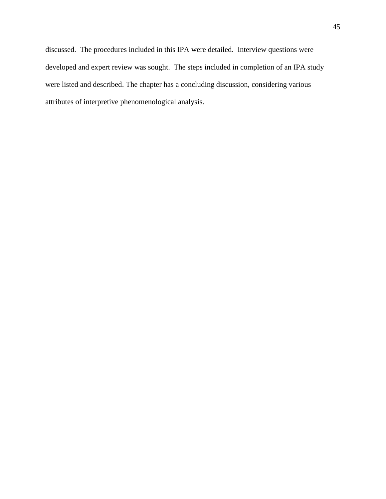discussed. The procedures included in this IPA were detailed. Interview questions were developed and expert review was sought. The steps included in completion of an IPA study were listed and described. The chapter has a concluding discussion, considering various attributes of interpretive phenomenological analysis.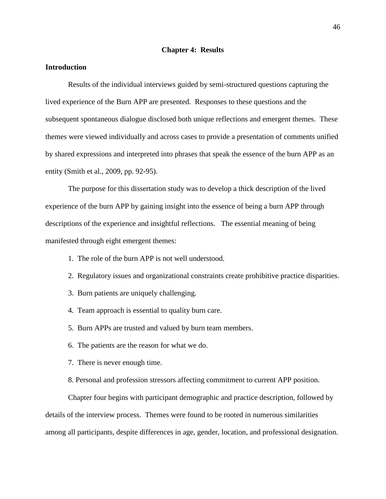## **Chapter 4: Results**

# **Introduction**

Results of the individual interviews guided by semi-structured questions capturing the lived experience of the Burn APP are presented. Responses to these questions and the subsequent spontaneous dialogue disclosed both unique reflections and emergent themes. These themes were viewed individually and across cases to provide a presentation of comments unified by shared expressions and interpreted into phrases that speak the essence of the burn APP as an entity (Smith et al., 2009, pp. 92-95).

The purpose for this dissertation study was to develop a thick description of the lived experience of the burn APP by gaining insight into the essence of being a burn APP through descriptions of the experience and insightful reflections. The essential meaning of being manifested through eight emergent themes:

- 1. The role of the burn APP is not well understood.
- 2. Regulatory issues and organizational constraints create prohibitive practice disparities.
- 3. Burn patients are uniquely challenging.
- 4. Team approach is essential to quality burn care.
- 5. Burn APPs are trusted and valued by burn team members.
- 6. The patients are the reason for what we do.
- 7. There is never enough time.
- 8. Personal and profession stressors affecting commitment to current APP position.

Chapter four begins with participant demographic and practice description, followed by details of the interview process. Themes were found to be rooted in numerous similarities among all participants, despite differences in age, gender, location, and professional designation.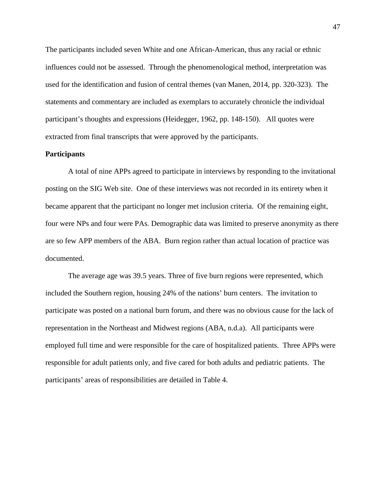The participants included seven White and one African-American, thus any racial or ethnic influences could not be assessed. Through the phenomenological method, interpretation was used for the identification and fusion of central themes (van Manen, 2014, pp. 320-323). The statements and commentary are included as exemplars to accurately chronicle the individual participant's thoughts and expressions (Heidegger, 1962, pp. 148-150). All quotes were extracted from final transcripts that were approved by the participants.

# **Participants**

A total of nine APPs agreed to participate in interviews by responding to the invitational posting on the SIG Web site. One of these interviews was not recorded in its entirety when it became apparent that the participant no longer met inclusion criteria. Of the remaining eight, four were NPs and four were PAs. Demographic data was limited to preserve anonymity as there are so few APP members of the ABA. Burn region rather than actual location of practice was documented.

The average age was 39.5 years. Three of five burn regions were represented, which included the Southern region, housing 24% of the nations' burn centers. The invitation to participate was posted on a national burn forum, and there was no obvious cause for the lack of representation in the Northeast and Midwest regions (ABA, n.d.a). All participants were employed full time and were responsible for the care of hospitalized patients. Three APPs were responsible for adult patients only, and five cared for both adults and pediatric patients. The participants' areas of responsibilities are detailed in Table 4.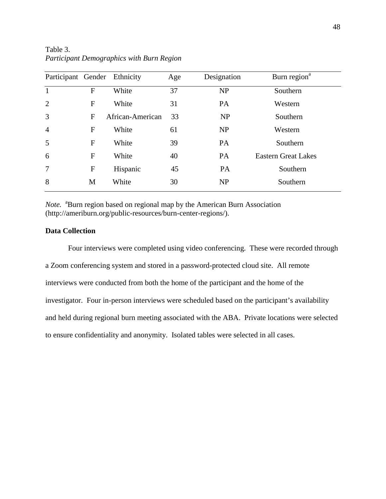| Participant Gender |   | Ethnicity        | Age | Designation | Burn region <sup>a</sup>   |
|--------------------|---|------------------|-----|-------------|----------------------------|
| $\mathbf{1}$       | F | White            | 37  | NP          | Southern                   |
| $\overline{2}$     | F | White            | 31  | <b>PA</b>   | Western                    |
| 3                  | F | African-American | 33  | <b>NP</b>   | Southern                   |
| $\overline{4}$     | F | White            | 61  | NP          | Western                    |
| 5                  | F | White            | 39  | <b>PA</b>   | Southern                   |
| 6                  | F | White            | 40  | <b>PA</b>   | <b>Eastern Great Lakes</b> |
| $7\phantom{.0}$    | F | Hispanic         | 45  | PA          | Southern                   |
| 8                  | M | White            | 30  | <b>NP</b>   | Southern                   |

Table 3. *Participant Demographics with Burn Region* 

Note. <sup>a</sup>Burn region based on regional map by the American Burn Association (http://ameriburn.org/public-resources/burn-center-regions/).

# **Data Collection**

Four interviews were completed using video conferencing. These were recorded through a Zoom conferencing system and stored in a password-protected cloud site. All remote interviews were conducted from both the home of the participant and the home of the investigator. Four in-person interviews were scheduled based on the participant's availability and held during regional burn meeting associated with the ABA. Private locations were selected to ensure confidentiality and anonymity. Isolated tables were selected in all cases.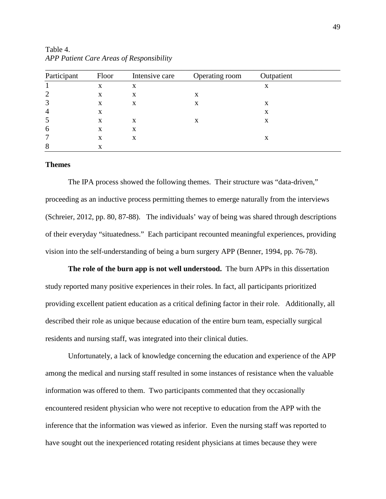| Participant    | Floor | Intensive care | Operating room | Outpatient |  |
|----------------|-------|----------------|----------------|------------|--|
|                | X     | X              |                | X          |  |
| 2              | X     | X              | х              |            |  |
| 3              | X     | X              | х              | X          |  |
| $\overline{4}$ | X     |                |                | X          |  |
| 5              | X     | X              | x              | X          |  |
| 6              | X     | X              |                |            |  |
|                | X     | X              |                | X          |  |
| 8              | x     |                |                |            |  |

Table 4. *APP Patient Care Areas of Responsibility*

### **Themes**

The IPA process showed the following themes. Their structure was "data-driven," proceeding as an inductive process permitting themes to emerge naturally from the interviews (Schreier, 2012, pp. 80, 87-88). The individuals' way of being was shared through descriptions of their everyday "situatedness." Each participant recounted meaningful experiences, providing vision into the self-understanding of being a burn surgery APP (Benner, 1994, pp. 76-78).

**The role of the burn app is not well understood.** The burn APPs in this dissertation study reported many positive experiences in their roles. In fact, all participants prioritized providing excellent patient education as a critical defining factor in their role. Additionally, all described their role as unique because education of the entire burn team, especially surgical residents and nursing staff, was integrated into their clinical duties.

Unfortunately, a lack of knowledge concerning the education and experience of the APP among the medical and nursing staff resulted in some instances of resistance when the valuable information was offered to them. Two participants commented that they occasionally encountered resident physician who were not receptive to education from the APP with the inference that the information was viewed as inferior. Even the nursing staff was reported to have sought out the inexperienced rotating resident physicians at times because they were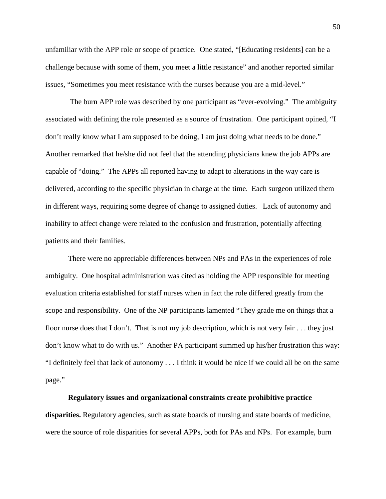unfamiliar with the APP role or scope of practice. One stated, "[Educating residents] can be a challenge because with some of them, you meet a little resistance" and another reported similar issues, "Sometimes you meet resistance with the nurses because you are a mid-level."

The burn APP role was described by one participant as "ever-evolving." The ambiguity associated with defining the role presented as a source of frustration. One participant opined, "I don't really know what I am supposed to be doing, I am just doing what needs to be done." Another remarked that he/she did not feel that the attending physicians knew the job APPs are capable of "doing." The APPs all reported having to adapt to alterations in the way care is delivered, according to the specific physician in charge at the time. Each surgeon utilized them in different ways, requiring some degree of change to assigned duties. Lack of autonomy and inability to affect change were related to the confusion and frustration, potentially affecting patients and their families.

There were no appreciable differences between NPs and PAs in the experiences of role ambiguity. One hospital administration was cited as holding the APP responsible for meeting evaluation criteria established for staff nurses when in fact the role differed greatly from the scope and responsibility. One of the NP participants lamented "They grade me on things that a floor nurse does that I don't. That is not my job description, which is not very fair . . . they just don't know what to do with us." Another PA participant summed up his/her frustration this way: "I definitely feel that lack of autonomy . . . I think it would be nice if we could all be on the same page."

#### **Regulatory issues and organizational constraints create prohibitive practice**

**disparities.** Regulatory agencies, such as state boards of nursing and state boards of medicine, were the source of role disparities for several APPs, both for PAs and NPs. For example, burn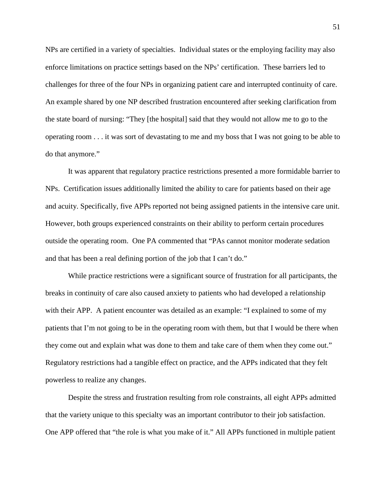NPs are certified in a variety of specialties. Individual states or the employing facility may also enforce limitations on practice settings based on the NPs' certification. These barriers led to challenges for three of the four NPs in organizing patient care and interrupted continuity of care. An example shared by one NP described frustration encountered after seeking clarification from the state board of nursing: "They [the hospital] said that they would not allow me to go to the operating room . . . it was sort of devastating to me and my boss that I was not going to be able to do that anymore."

It was apparent that regulatory practice restrictions presented a more formidable barrier to NPs. Certification issues additionally limited the ability to care for patients based on their age and acuity. Specifically, five APPs reported not being assigned patients in the intensive care unit. However, both groups experienced constraints on their ability to perform certain procedures outside the operating room. One PA commented that "PAs cannot monitor moderate sedation and that has been a real defining portion of the job that I can't do."

While practice restrictions were a significant source of frustration for all participants, the breaks in continuity of care also caused anxiety to patients who had developed a relationship with their APP. A patient encounter was detailed as an example: "I explained to some of my patients that I'm not going to be in the operating room with them, but that I would be there when they come out and explain what was done to them and take care of them when they come out." Regulatory restrictions had a tangible effect on practice, and the APPs indicated that they felt powerless to realize any changes.

Despite the stress and frustration resulting from role constraints, all eight APPs admitted that the variety unique to this specialty was an important contributor to their job satisfaction. One APP offered that "the role is what you make of it." All APPs functioned in multiple patient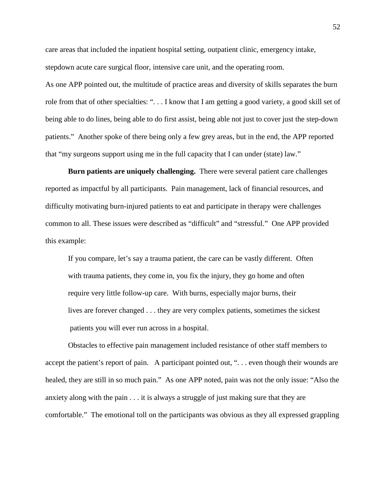care areas that included the inpatient hospital setting, outpatient clinic, emergency intake, stepdown acute care surgical floor, intensive care unit, and the operating room.

As one APP pointed out, the multitude of practice areas and diversity of skills separates the burn role from that of other specialties: ". . . I know that I am getting a good variety, a good skill set of being able to do lines, being able to do first assist, being able not just to cover just the step-down patients." Another spoke of there being only a few grey areas, but in the end, the APP reported that "my surgeons support using me in the full capacity that I can under (state) law."

**Burn patients are uniquely challenging.** There were several patient care challenges reported as impactful by all participants. Pain management, lack of financial resources, and difficulty motivating burn-injured patients to eat and participate in therapy were challenges common to all. These issues were described as "difficult" and "stressful." One APP provided this example:

If you compare, let's say a trauma patient, the care can be vastly different. Often with trauma patients, they come in, you fix the injury, they go home and often require very little follow-up care. With burns, especially major burns, their lives are forever changed . . . they are very complex patients, sometimes the sickest patients you will ever run across in a hospital.

Obstacles to effective pain management included resistance of other staff members to accept the patient's report of pain. A participant pointed out, "... even though their wounds are healed, they are still in so much pain." As one APP noted, pain was not the only issue: "Also the anxiety along with the pain . . . it is always a struggle of just making sure that they are comfortable." The emotional toll on the participants was obvious as they all expressed grappling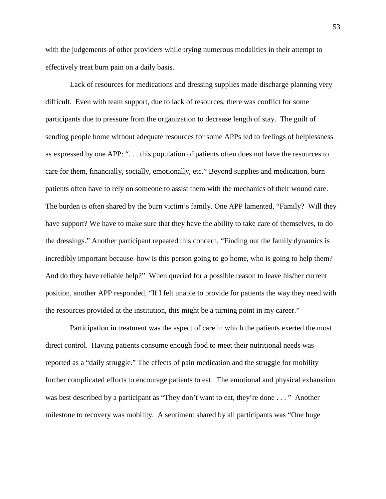with the judgements of other providers while trying numerous modalities in their attempt to effectively treat burn pain on a daily basis.

Lack of resources for medications and dressing supplies made discharge planning very difficult. Even with team support, due to lack of resources, there was conflict for some participants due to pressure from the organization to decrease length of stay. The guilt of sending people home without adequate resources for some APPs led to feelings of helplessness as expressed by one APP: ". . . this population of patients often does not have the resources to care for them, financially, socially, emotionally, etc." Beyond supplies and medication, burn patients often have to rely on someone to assist them with the mechanics of their wound care. The burden is often shared by the burn victim's family. One APP lamented, "Family? Will they have support? We have to make sure that they have the ability to take care of themselves, to do the dressings." Another participant repeated this concern, "Finding out the family dynamics is incredibly important because–how is this person going to go home, who is going to help them? And do they have reliable help?" When queried for a possible reason to leave his/her current position, another APP responded, "If I felt unable to provide for patients the way they need with the resources provided at the institution, this might be a turning point in my career."

Participation in treatment was the aspect of care in which the patients exerted the most direct control. Having patients consume enough food to meet their nutritional needs was reported as a "daily struggle." The effects of pain medication and the struggle for mobility further complicated efforts to encourage patients to eat. The emotional and physical exhaustion was best described by a participant as "They don't want to eat, they're done . . . " Another milestone to recovery was mobility. A sentiment shared by all participants was "One huge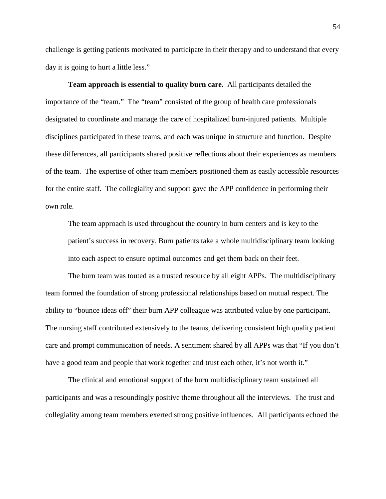challenge is getting patients motivated to participate in their therapy and to understand that every day it is going to hurt a little less."

**Team approach is essential to quality burn care.** All participants detailed the importance of the "team." The "team" consisted of the group of health care professionals designated to coordinate and manage the care of hospitalized burn-injured patients. Multiple disciplines participated in these teams, and each was unique in structure and function. Despite these differences, all participants shared positive reflections about their experiences as members of the team. The expertise of other team members positioned them as easily accessible resources for the entire staff. The collegiality and support gave the APP confidence in performing their own role.

The team approach is used throughout the country in burn centers and is key to the patient's success in recovery. Burn patients take a whole multidisciplinary team looking into each aspect to ensure optimal outcomes and get them back on their feet.

The burn team was touted as a trusted resource by all eight APPs. The multidisciplinary team formed the foundation of strong professional relationships based on mutual respect. The ability to "bounce ideas off" their burn APP colleague was attributed value by one participant. The nursing staff contributed extensively to the teams, delivering consistent high quality patient care and prompt communication of needs. A sentiment shared by all APPs was that "If you don't have a good team and people that work together and trust each other, it's not worth it."

The clinical and emotional support of the burn multidisciplinary team sustained all participants and was a resoundingly positive theme throughout all the interviews. The trust and collegiality among team members exerted strong positive influences. All participants echoed the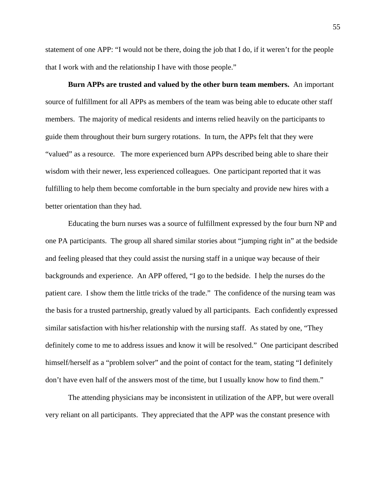statement of one APP: "I would not be there, doing the job that I do, if it weren't for the people that I work with and the relationship I have with those people."

**Burn APPs are trusted and valued by the other burn team members.** An important source of fulfillment for all APPs as members of the team was being able to educate other staff members. The majority of medical residents and interns relied heavily on the participants to guide them throughout their burn surgery rotations. In turn, the APPs felt that they were "valued" as a resource. The more experienced burn APPs described being able to share their wisdom with their newer, less experienced colleagues. One participant reported that it was fulfilling to help them become comfortable in the burn specialty and provide new hires with a better orientation than they had.

Educating the burn nurses was a source of fulfillment expressed by the four burn NP and one PA participants. The group all shared similar stories about "jumping right in" at the bedside and feeling pleased that they could assist the nursing staff in a unique way because of their backgrounds and experience. An APP offered, "I go to the bedside. I help the nurses do the patient care. I show them the little tricks of the trade." The confidence of the nursing team was the basis for a trusted partnership, greatly valued by all participants. Each confidently expressed similar satisfaction with his/her relationship with the nursing staff. As stated by one, "They definitely come to me to address issues and know it will be resolved." One participant described himself/herself as a "problem solver" and the point of contact for the team, stating "I definitely don't have even half of the answers most of the time, but I usually know how to find them."

The attending physicians may be inconsistent in utilization of the APP, but were overall very reliant on all participants. They appreciated that the APP was the constant presence with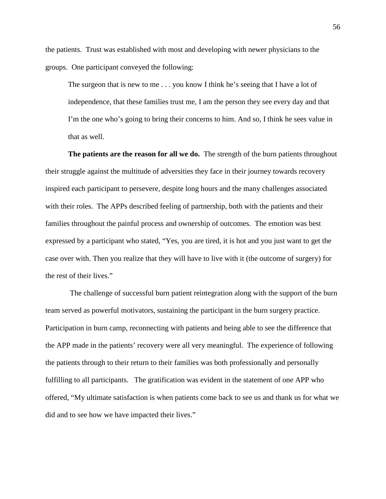the patients. Trust was established with most and developing with newer physicians to the groups. One participant conveyed the following:

The surgeon that is new to me . . . you know I think he's seeing that I have a lot of independence, that these families trust me, I am the person they see every day and that I'm the one who's going to bring their concerns to him. And so, I think he sees value in that as well.

**The patients are the reason for all we do.** The strength of the burn patients throughout their struggle against the multitude of adversities they face in their journey towards recovery inspired each participant to persevere, despite long hours and the many challenges associated with their roles. The APPs described feeling of partnership, both with the patients and their families throughout the painful process and ownership of outcomes. The emotion was best expressed by a participant who stated, "Yes, you are tired, it is hot and you just want to get the case over with. Then you realize that they will have to live with it (the outcome of surgery) for the rest of their lives."

The challenge of successful burn patient reintegration along with the support of the burn team served as powerful motivators, sustaining the participant in the burn surgery practice. Participation in burn camp, reconnecting with patients and being able to see the difference that the APP made in the patients' recovery were all very meaningful. The experience of following the patients through to their return to their families was both professionally and personally fulfilling to all participants. The gratification was evident in the statement of one APP who offered, "My ultimate satisfaction is when patients come back to see us and thank us for what we did and to see how we have impacted their lives."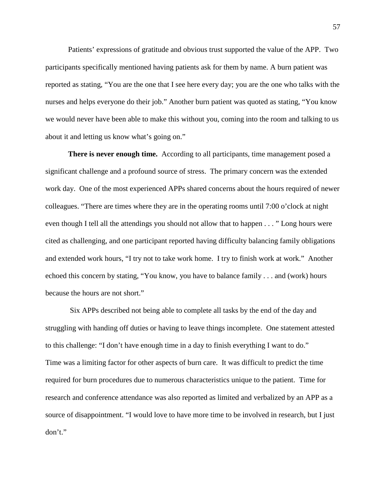Patients' expressions of gratitude and obvious trust supported the value of the APP. Two participants specifically mentioned having patients ask for them by name. A burn patient was reported as stating, "You are the one that I see here every day; you are the one who talks with the nurses and helps everyone do their job." Another burn patient was quoted as stating, "You know we would never have been able to make this without you, coming into the room and talking to us about it and letting us know what's going on."

**There is never enough time.** According to all participants, time management posed a significant challenge and a profound source of stress. The primary concern was the extended work day. One of the most experienced APPs shared concerns about the hours required of newer colleagues. "There are times where they are in the operating rooms until 7:00 o'clock at night even though I tell all the attendings you should not allow that to happen . . . " Long hours were cited as challenging, and one participant reported having difficulty balancing family obligations and extended work hours, "I try not to take work home. I try to finish work at work." Another echoed this concern by stating, "You know, you have to balance family . . . and (work) hours because the hours are not short."

Six APPs described not being able to complete all tasks by the end of the day and struggling with handing off duties or having to leave things incomplete. One statement attested to this challenge: "I don't have enough time in a day to finish everything I want to do." Time was a limiting factor for other aspects of burn care. It was difficult to predict the time required for burn procedures due to numerous characteristics unique to the patient. Time for research and conference attendance was also reported as limited and verbalized by an APP as a source of disappointment. "I would love to have more time to be involved in research, but I just don't."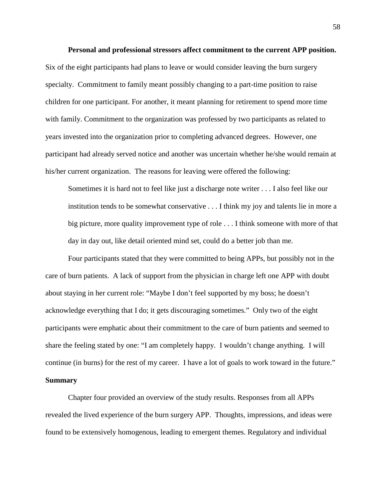**Personal and professional stressors affect commitment to the current APP position.**  Six of the eight participants had plans to leave or would consider leaving the burn surgery specialty. Commitment to family meant possibly changing to a part-time position to raise children for one participant. For another, it meant planning for retirement to spend more time with family. Commitment to the organization was professed by two participants as related to years invested into the organization prior to completing advanced degrees. However, one participant had already served notice and another was uncertain whether he/she would remain at his/her current organization. The reasons for leaving were offered the following:

Sometimes it is hard not to feel like just a discharge note writer . . . I also feel like our institution tends to be somewhat conservative . . . I think my joy and talents lie in more a big picture, more quality improvement type of role . . . I think someone with more of that day in day out, like detail oriented mind set, could do a better job than me.

Four participants stated that they were committed to being APPs, but possibly not in the care of burn patients. A lack of support from the physician in charge left one APP with doubt about staying in her current role: "Maybe I don't feel supported by my boss; he doesn't acknowledge everything that I do; it gets discouraging sometimes." Only two of the eight participants were emphatic about their commitment to the care of burn patients and seemed to share the feeling stated by one: "I am completely happy. I wouldn't change anything. I will continue (in burns) for the rest of my career. I have a lot of goals to work toward in the future." **Summary**

Chapter four provided an overview of the study results. Responses from all APPs revealed the lived experience of the burn surgery APP. Thoughts, impressions, and ideas were found to be extensively homogenous, leading to emergent themes. Regulatory and individual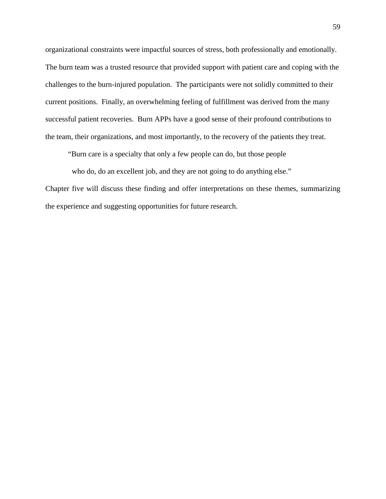organizational constraints were impactful sources of stress, both professionally and emotionally. The burn team was a trusted resource that provided support with patient care and coping with the challenges to the burn-injured population. The participants were not solidly committed to their current positions. Finally, an overwhelming feeling of fulfillment was derived from the many successful patient recoveries. Burn APPs have a good sense of their profound contributions to the team, their organizations, and most importantly, to the recovery of the patients they treat.

"Burn care is a specialty that only a few people can do, but those people

who do, do an excellent job, and they are not going to do anything else."

Chapter five will discuss these finding and offer interpretations on these themes, summarizing the experience and suggesting opportunities for future research.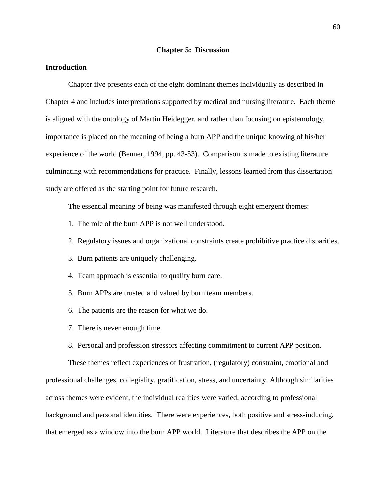### **Chapter 5: Discussion**

# **Introduction**

Chapter five presents each of the eight dominant themes individually as described in Chapter 4 and includes interpretations supported by medical and nursing literature. Each theme is aligned with the ontology of Martin Heidegger, and rather than focusing on epistemology, importance is placed on the meaning of being a burn APP and the unique knowing of his/her experience of the world (Benner, 1994, pp. 43-53). Comparison is made to existing literature culminating with recommendations for practice. Finally, lessons learned from this dissertation study are offered as the starting point for future research.

The essential meaning of being was manifested through eight emergent themes:

- 1. The role of the burn APP is not well understood.
- 2. Regulatory issues and organizational constraints create prohibitive practice disparities.
- 3. Burn patients are uniquely challenging.
- 4. Team approach is essential to quality burn care.
- 5. Burn APPs are trusted and valued by burn team members.
- 6. The patients are the reason for what we do.
- 7. There is never enough time.
- 8. Personal and profession stressors affecting commitment to current APP position.

These themes reflect experiences of frustration, (regulatory) constraint, emotional and professional challenges, collegiality, gratification, stress, and uncertainty. Although similarities across themes were evident, the individual realities were varied, according to professional background and personal identities. There were experiences, both positive and stress-inducing, that emerged as a window into the burn APP world. Literature that describes the APP on the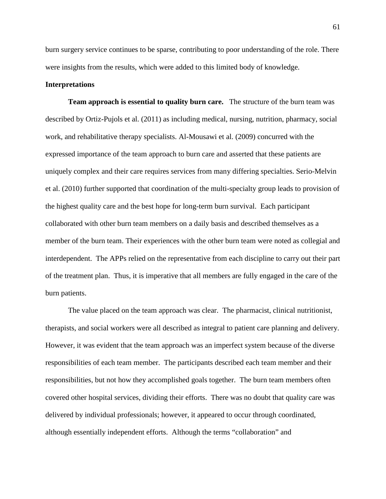burn surgery service continues to be sparse, contributing to poor understanding of the role. There were insights from the results, which were added to this limited body of knowledge.

# **Interpretations**

**Team approach is essential to quality burn care.** The structure of the burn team was described by Ortiz-Pujols et al. (2011) as including medical, nursing, nutrition, pharmacy, social work, and rehabilitative therapy specialists. Al-Mousawi et al. (2009) concurred with the expressed importance of the team approach to burn care and asserted that these patients are uniquely complex and their care requires services from many differing specialties. Serio-Melvin et al. (2010) further supported that coordination of the multi-specialty group leads to provision of the highest quality care and the best hope for long-term burn survival. Each participant collaborated with other burn team members on a daily basis and described themselves as a member of the burn team. Their experiences with the other burn team were noted as collegial and interdependent. The APPs relied on the representative from each discipline to carry out their part of the treatment plan. Thus, it is imperative that all members are fully engaged in the care of the burn patients.

The value placed on the team approach was clear. The pharmacist, clinical nutritionist, therapists, and social workers were all described as integral to patient care planning and delivery. However, it was evident that the team approach was an imperfect system because of the diverse responsibilities of each team member. The participants described each team member and their responsibilities, but not how they accomplished goals together. The burn team members often covered other hospital services, dividing their efforts. There was no doubt that quality care was delivered by individual professionals; however, it appeared to occur through coordinated, although essentially independent efforts. Although the terms "collaboration" and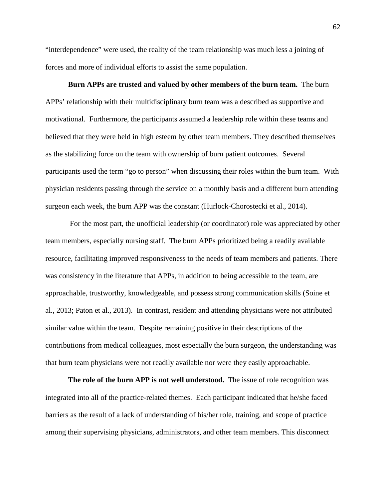"interdependence" were used, the reality of the team relationship was much less a joining of forces and more of individual efforts to assist the same population.

**Burn APPs are trusted and valued by other members of the burn team.** The burn APPs' relationship with their multidisciplinary burn team was a described as supportive and motivational. Furthermore, the participants assumed a leadership role within these teams and believed that they were held in high esteem by other team members. They described themselves as the stabilizing force on the team with ownership of burn patient outcomes. Several participants used the term "go to person" when discussing their roles within the burn team. With physician residents passing through the service on a monthly basis and a different burn attending surgeon each week, the burn APP was the constant (Hurlock-Chorostecki et al., 2014).

For the most part, the unofficial leadership (or coordinator) role was appreciated by other team members, especially nursing staff. The burn APPs prioritized being a readily available resource, facilitating improved responsiveness to the needs of team members and patients. There was consistency in the literature that APPs, in addition to being accessible to the team, are approachable, trustworthy, knowledgeable, and possess strong communication skills (Soine et al., 2013; Paton et al., 2013). In contrast, resident and attending physicians were not attributed similar value within the team. Despite remaining positive in their descriptions of the contributions from medical colleagues, most especially the burn surgeon, the understanding was that burn team physicians were not readily available nor were they easily approachable.

**The role of the burn APP is not well understood.** The issue of role recognition was integrated into all of the practice-related themes. Each participant indicated that he/she faced barriers as the result of a lack of understanding of his/her role, training, and scope of practice among their supervising physicians, administrators, and other team members. This disconnect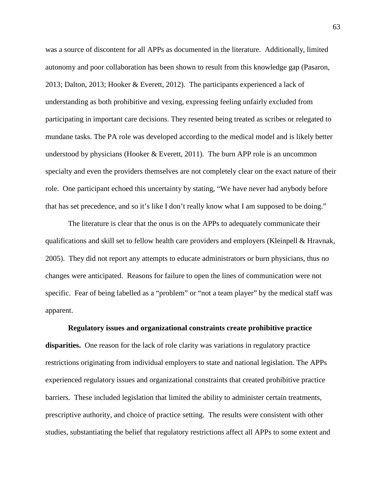was a source of discontent for all APPs as documented in the literature. Additionally, limited autonomy and poor collaboration has been shown to result from this knowledge gap (Pasaron, 2013; Dalton, 2013; Hooker & Everett, 2012). The participants experienced a lack of understanding as both prohibitive and vexing, expressing feeling unfairly excluded from participating in important care decisions. They resented being treated as scribes or relegated to mundane tasks. The PA role was developed according to the medical model and is likely better understood by physicians (Hooker & Everett, 2011). The burn APP role is an uncommon specialty and even the providers themselves are not completely clear on the exact nature of their role. One participant echoed this uncertainty by stating, "We have never had anybody before that has set precedence, and so it's like I don't really know what I am supposed to be doing."

The literature is clear that the onus is on the APPs to adequately communicate their qualifications and skill set to fellow health care providers and employers (Kleinpell & Hravnak, 2005). They did not report any attempts to educate administrators or burn physicians, thus no changes were anticipated. Reasons for failure to open the lines of communication were not specific. Fear of being labelled as a "problem" or "not a team player" by the medical staff was apparent.

**Regulatory issues and organizational constraints create prohibitive practice disparities.** One reason for the lack of role clarity was variations in regulatory practice restrictions originating from individual employers to state and national legislation. The APPs experienced regulatory issues and organizational constraints that created prohibitive practice barriers. These included legislation that limited the ability to administer certain treatments, prescriptive authority, and choice of practice setting. The results were consistent with other studies, substantiating the belief that regulatory restrictions affect all APPs to some extent and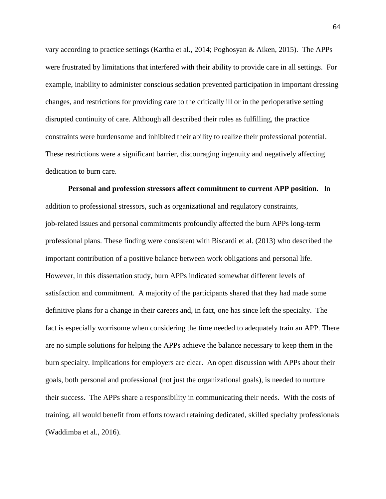vary according to practice settings (Kartha et al., 2014; Poghosyan & Aiken, 2015). The APPs were frustrated by limitations that interfered with their ability to provide care in all settings. For example, inability to administer conscious sedation prevented participation in important dressing changes, and restrictions for providing care to the critically ill or in the perioperative setting disrupted continuity of care. Although all described their roles as fulfilling, the practice constraints were burdensome and inhibited their ability to realize their professional potential. These restrictions were a significant barrier, discouraging ingenuity and negatively affecting dedication to burn care.

**Personal and profession stressors affect commitment to current APP position.** In addition to professional stressors, such as organizational and regulatory constraints, job-related issues and personal commitments profoundly affected the burn APPs long-term professional plans. These finding were consistent with Biscardi et al. (2013) who described the important contribution of a positive balance between work obligations and personal life. However, in this dissertation study, burn APPs indicated somewhat different levels of satisfaction and commitment. A majority of the participants shared that they had made some definitive plans for a change in their careers and, in fact, one has since left the specialty. The fact is especially worrisome when considering the time needed to adequately train an APP. There are no simple solutions for helping the APPs achieve the balance necessary to keep them in the burn specialty. Implications for employers are clear. An open discussion with APPs about their goals, both personal and professional (not just the organizational goals), is needed to nurture their success. The APPs share a responsibility in communicating their needs. With the costs of training, all would benefit from efforts toward retaining dedicated, skilled specialty professionals (Waddimba et al., 2016).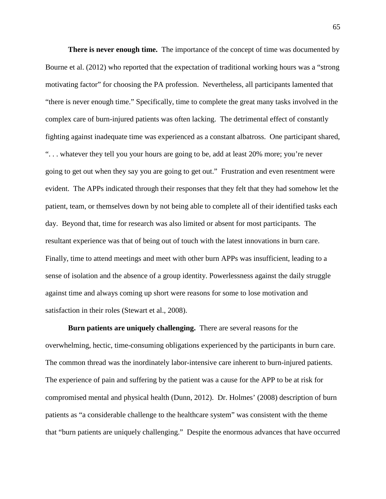**There is never enough time.** The importance of the concept of time was documented by Bourne et al. (2012) who reported that the expectation of traditional working hours was a "strong motivating factor" for choosing the PA profession. Nevertheless, all participants lamented that "there is never enough time." Specifically, time to complete the great many tasks involved in the complex care of burn-injured patients was often lacking. The detrimental effect of constantly fighting against inadequate time was experienced as a constant albatross. One participant shared, ". . . whatever they tell you your hours are going to be, add at least 20% more; you're never going to get out when they say you are going to get out." Frustration and even resentment were evident. The APPs indicated through their responses that they felt that they had somehow let the patient, team, or themselves down by not being able to complete all of their identified tasks each day. Beyond that, time for research was also limited or absent for most participants. The resultant experience was that of being out of touch with the latest innovations in burn care. Finally, time to attend meetings and meet with other burn APPs was insufficient, leading to a sense of isolation and the absence of a group identity. Powerlessness against the daily struggle against time and always coming up short were reasons for some to lose motivation and satisfaction in their roles (Stewart et al., 2008).

**Burn patients are uniquely challenging.** There are several reasons for the overwhelming, hectic, time-consuming obligations experienced by the participants in burn care. The common thread was the inordinately labor-intensive care inherent to burn-injured patients. The experience of pain and suffering by the patient was a cause for the APP to be at risk for compromised mental and physical health (Dunn, 2012). Dr. Holmes' (2008) description of burn patients as "a considerable challenge to the healthcare system" was consistent with the theme that "burn patients are uniquely challenging." Despite the enormous advances that have occurred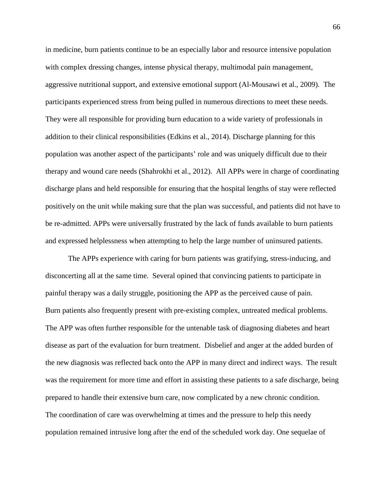in medicine, burn patients continue to be an especially labor and resource intensive population with complex dressing changes, intense physical therapy, multimodal pain management, aggressive nutritional support, and extensive emotional support (Al-Mousawi et al., 2009). The participants experienced stress from being pulled in numerous directions to meet these needs. They were all responsible for providing burn education to a wide variety of professionals in addition to their clinical responsibilities (Edkins et al., 2014). Discharge planning for this population was another aspect of the participants' role and was uniquely difficult due to their therapy and wound care needs (Shahrokhi et al., 2012). All APPs were in charge of coordinating discharge plans and held responsible for ensuring that the hospital lengths of stay were reflected positively on the unit while making sure that the plan was successful, and patients did not have to be re-admitted. APPs were universally frustrated by the lack of funds available to burn patients and expressed helplessness when attempting to help the large number of uninsured patients.

The APPs experience with caring for burn patients was gratifying, stress-inducing, and disconcerting all at the same time. Several opined that convincing patients to participate in painful therapy was a daily struggle, positioning the APP as the perceived cause of pain. Burn patients also frequently present with pre-existing complex, untreated medical problems. The APP was often further responsible for the untenable task of diagnosing diabetes and heart disease as part of the evaluation for burn treatment. Disbelief and anger at the added burden of the new diagnosis was reflected back onto the APP in many direct and indirect ways. The result was the requirement for more time and effort in assisting these patients to a safe discharge, being prepared to handle their extensive burn care, now complicated by a new chronic condition. The coordination of care was overwhelming at times and the pressure to help this needy population remained intrusive long after the end of the scheduled work day. One sequelae of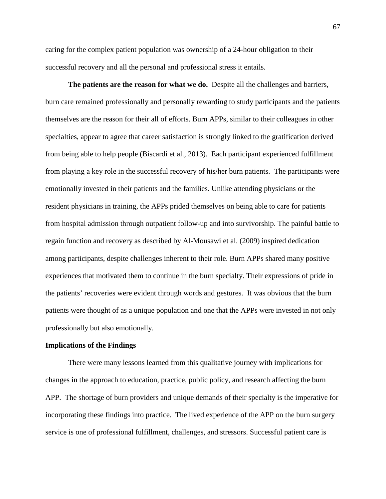caring for the complex patient population was ownership of a 24-hour obligation to their successful recovery and all the personal and professional stress it entails.

**The patients are the reason for what we do.** Despite all the challenges and barriers, burn care remained professionally and personally rewarding to study participants and the patients themselves are the reason for their all of efforts. Burn APPs, similar to their colleagues in other specialties, appear to agree that career satisfaction is strongly linked to the gratification derived from being able to help people (Biscardi et al., 2013). Each participant experienced fulfillment from playing a key role in the successful recovery of his/her burn patients. The participants were emotionally invested in their patients and the families. Unlike attending physicians or the resident physicians in training, the APPs prided themselves on being able to care for patients from hospital admission through outpatient follow-up and into survivorship. The painful battle to regain function and recovery as described by Al-Mousawi et al. (2009) inspired dedication among participants, despite challenges inherent to their role. Burn APPs shared many positive experiences that motivated them to continue in the burn specialty. Their expressions of pride in the patients' recoveries were evident through words and gestures. It was obvious that the burn patients were thought of as a unique population and one that the APPs were invested in not only professionally but also emotionally.

#### **Implications of the Findings**

There were many lessons learned from this qualitative journey with implications for changes in the approach to education, practice, public policy, and research affecting the burn APP. The shortage of burn providers and unique demands of their specialty is the imperative for incorporating these findings into practice. The lived experience of the APP on the burn surgery service is one of professional fulfillment, challenges, and stressors. Successful patient care is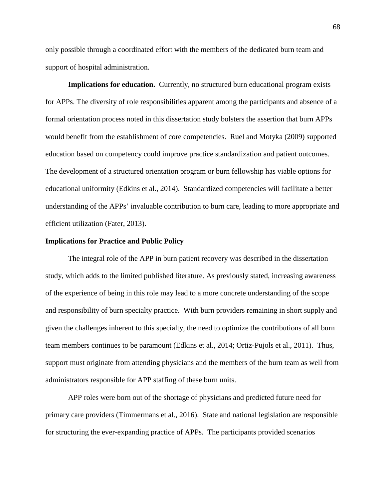only possible through a coordinated effort with the members of the dedicated burn team and support of hospital administration.

**Implications for education.** Currently, no structured burn educational program exists for APPs. The diversity of role responsibilities apparent among the participants and absence of a formal orientation process noted in this dissertation study bolsters the assertion that burn APPs would benefit from the establishment of core competencies. Ruel and Motyka (2009) supported education based on competency could improve practice standardization and patient outcomes. The development of a structured orientation program or burn fellowship has viable options for educational uniformity (Edkins et al., 2014). Standardized competencies will facilitate a better understanding of the APPs' invaluable contribution to burn care, leading to more appropriate and efficient utilization (Fater, 2013).

#### **Implications for Practice and Public Policy**

The integral role of the APP in burn patient recovery was described in the dissertation study, which adds to the limited published literature. As previously stated, increasing awareness of the experience of being in this role may lead to a more concrete understanding of the scope and responsibility of burn specialty practice. With burn providers remaining in short supply and given the challenges inherent to this specialty, the need to optimize the contributions of all burn team members continues to be paramount (Edkins et al., 2014; Ortiz-Pujols et al., 2011). Thus, support must originate from attending physicians and the members of the burn team as well from administrators responsible for APP staffing of these burn units.

APP roles were born out of the shortage of physicians and predicted future need for primary care providers (Timmermans et al., 2016). State and national legislation are responsible for structuring the ever-expanding practice of APPs. The participants provided scenarios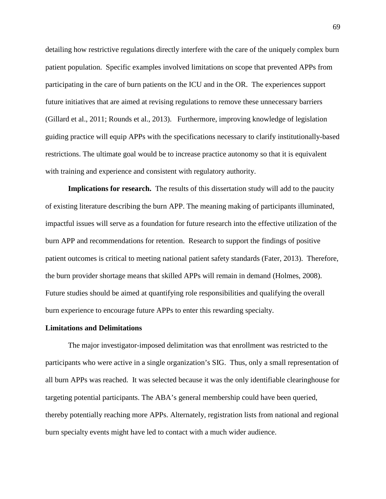detailing how restrictive regulations directly interfere with the care of the uniquely complex burn patient population. Specific examples involved limitations on scope that prevented APPs from participating in the care of burn patients on the ICU and in the OR. The experiences support future initiatives that are aimed at revising regulations to remove these unnecessary barriers (Gillard et al., 2011; Rounds et al., 2013). Furthermore, improving knowledge of legislation guiding practice will equip APPs with the specifications necessary to clarify institutionally-based restrictions. The ultimate goal would be to increase practice autonomy so that it is equivalent with training and experience and consistent with regulatory authority.

**Implications for research.** The results of this dissertation study will add to the paucity of existing literature describing the burn APP. The meaning making of participants illuminated, impactful issues will serve as a foundation for future research into the effective utilization of the burn APP and recommendations for retention. Research to support the findings of positive patient outcomes is critical to meeting national patient safety standards (Fater, 2013). Therefore, the burn provider shortage means that skilled APPs will remain in demand (Holmes, 2008). Future studies should be aimed at quantifying role responsibilities and qualifying the overall burn experience to encourage future APPs to enter this rewarding specialty.

#### **Limitations and Delimitations**

The major investigator-imposed delimitation was that enrollment was restricted to the participants who were active in a single organization's SIG. Thus, only a small representation of all burn APPs was reached. It was selected because it was the only identifiable clearinghouse for targeting potential participants. The ABA's general membership could have been queried, thereby potentially reaching more APPs. Alternately, registration lists from national and regional burn specialty events might have led to contact with a much wider audience.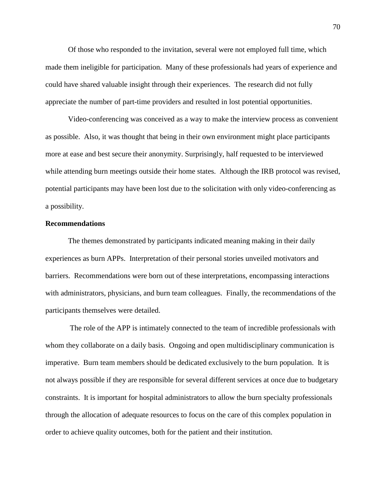Of those who responded to the invitation, several were not employed full time, which made them ineligible for participation. Many of these professionals had years of experience and could have shared valuable insight through their experiences. The research did not fully appreciate the number of part-time providers and resulted in lost potential opportunities.

Video-conferencing was conceived as a way to make the interview process as convenient as possible. Also, it was thought that being in their own environment might place participants more at ease and best secure their anonymity. Surprisingly, half requested to be interviewed while attending burn meetings outside their home states. Although the IRB protocol was revised, potential participants may have been lost due to the solicitation with only video-conferencing as a possibility.

#### **Recommendations**

The themes demonstrated by participants indicated meaning making in their daily experiences as burn APPs. Interpretation of their personal stories unveiled motivators and barriers. Recommendations were born out of these interpretations, encompassing interactions with administrators, physicians, and burn team colleagues. Finally, the recommendations of the participants themselves were detailed.

The role of the APP is intimately connected to the team of incredible professionals with whom they collaborate on a daily basis. Ongoing and open multidisciplinary communication is imperative. Burn team members should be dedicated exclusively to the burn population. It is not always possible if they are responsible for several different services at once due to budgetary constraints. It is important for hospital administrators to allow the burn specialty professionals through the allocation of adequate resources to focus on the care of this complex population in order to achieve quality outcomes, both for the patient and their institution.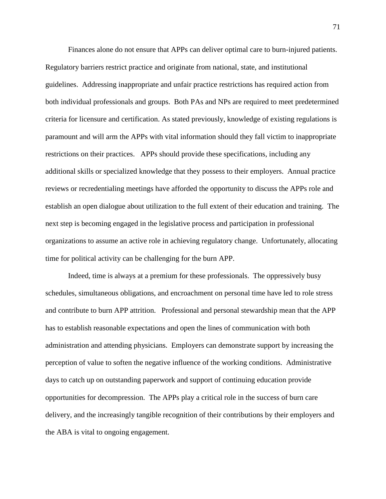Finances alone do not ensure that APPs can deliver optimal care to burn-injured patients. Regulatory barriers restrict practice and originate from national, state, and institutional guidelines. Addressing inappropriate and unfair practice restrictions has required action from both individual professionals and groups. Both PAs and NPs are required to meet predetermined criteria for licensure and certification. As stated previously, knowledge of existing regulations is paramount and will arm the APPs with vital information should they fall victim to inappropriate restrictions on their practices. APPs should provide these specifications, including any additional skills or specialized knowledge that they possess to their employers. Annual practice reviews or recredentialing meetings have afforded the opportunity to discuss the APPs role and establish an open dialogue about utilization to the full extent of their education and training. The next step is becoming engaged in the legislative process and participation in professional organizations to assume an active role in achieving regulatory change. Unfortunately, allocating time for political activity can be challenging for the burn APP.

Indeed, time is always at a premium for these professionals. The oppressively busy schedules, simultaneous obligations, and encroachment on personal time have led to role stress and contribute to burn APP attrition. Professional and personal stewardship mean that the APP has to establish reasonable expectations and open the lines of communication with both administration and attending physicians. Employers can demonstrate support by increasing the perception of value to soften the negative influence of the working conditions. Administrative days to catch up on outstanding paperwork and support of continuing education provide opportunities for decompression. The APPs play a critical role in the success of burn care delivery, and the increasingly tangible recognition of their contributions by their employers and the ABA is vital to ongoing engagement.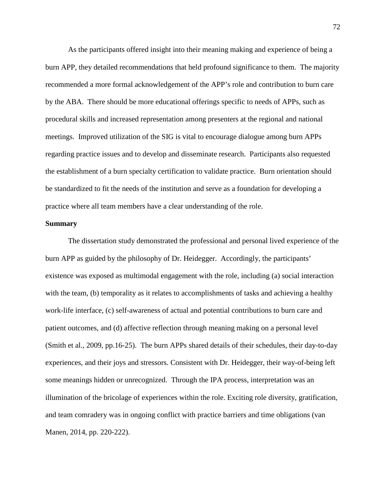As the participants offered insight into their meaning making and experience of being a burn APP, they detailed recommendations that held profound significance to them. The majority recommended a more formal acknowledgement of the APP's role and contribution to burn care by the ABA. There should be more educational offerings specific to needs of APPs, such as procedural skills and increased representation among presenters at the regional and national meetings. Improved utilization of the SIG is vital to encourage dialogue among burn APPs regarding practice issues and to develop and disseminate research. Participants also requested the establishment of a burn specialty certification to validate practice. Burn orientation should be standardized to fit the needs of the institution and serve as a foundation for developing a practice where all team members have a clear understanding of the role.

#### **Summary**

The dissertation study demonstrated the professional and personal lived experience of the burn APP as guided by the philosophy of Dr. Heidegger. Accordingly, the participants' existence was exposed as multimodal engagement with the role, including (a) social interaction with the team, (b) temporality as it relates to accomplishments of tasks and achieving a healthy work-life interface, (c) self-awareness of actual and potential contributions to burn care and patient outcomes, and (d) affective reflection through meaning making on a personal level (Smith et al., 2009, pp.16-25). The burn APPs shared details of their schedules, their day-to-day experiences, and their joys and stressors. Consistent with Dr. Heidegger, their way-of-being left some meanings hidden or unrecognized. Through the IPA process, interpretation was an illumination of the bricolage of experiences within the role. Exciting role diversity, gratification, and team comradery was in ongoing conflict with practice barriers and time obligations (van Manen, 2014, pp. 220-222).

72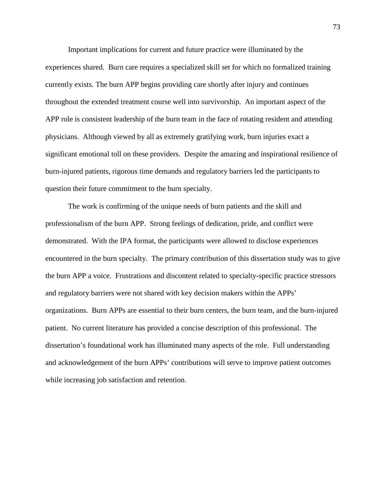Important implications for current and future practice were illuminated by the experiences shared. Burn care requires a specialized skill set for which no formalized training currently exists. The burn APP begins providing care shortly after injury and continues throughout the extended treatment course well into survivorship. An important aspect of the APP role is consistent leadership of the burn team in the face of rotating resident and attending physicians. Although viewed by all as extremely gratifying work, burn injuries exact a significant emotional toll on these providers. Despite the amazing and inspirational resilience of burn-injured patients, rigorous time demands and regulatory barriers led the participants to question their future commitment to the burn specialty.

The work is confirming of the unique needs of burn patients and the skill and professionalism of the burn APP. Strong feelings of dedication, pride, and conflict were demonstrated. With the IPA format, the participants were allowed to disclose experiences encountered in the burn specialty. The primary contribution of this dissertation study was to give the burn APP a voice. Frustrations and discontent related to specialty-specific practice stressors and regulatory barriers were not shared with key decision makers within the APPs' organizations. Burn APPs are essential to their burn centers, the burn team, and the burn-injured patient. No current literature has provided a concise description of this professional. The dissertation's foundational work has illuminated many aspects of the role. Full understanding and acknowledgement of the burn APPs' contributions will serve to improve patient outcomes while increasing job satisfaction and retention.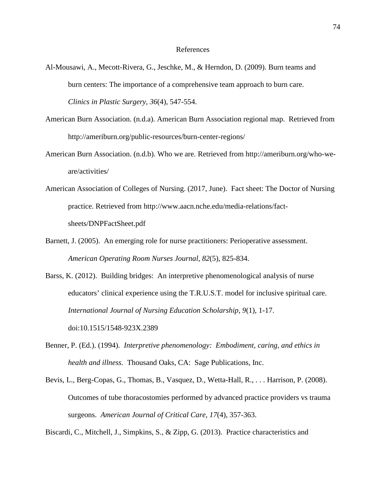#### References

- Al-Mousawi, A., Mecott-Rivera, G., Jeschke, M., & Herndon, D. (2009). Burn teams and burn centers: The importance of a comprehensive team approach to burn care. *Clinics in Plastic Surgery, 36*(4), 547-554.
- American Burn Association. (n.d.a). American Burn Association regional map. Retrieved from http://ameriburn.org/public-resources/burn-center-regions/
- American Burn Association. (n.d.b). Who we are. Retrieved from http://ameriburn.org/who-weare/activities/
- American Association of Colleges of Nursing. (2017, June). Fact sheet: The Doctor of Nursing practice. Retrieved from http://www.aacn.nche.edu/media-relations/factsheets/DNPFactSheet.pdf
- Barnett, J. (2005). An emerging role for nurse practitioners: Perioperative assessment. *American Operating Room Nurses Journal*, *82*(5), 825-834.
- Barss, K. (2012). Building bridges: An interpretive phenomenological analysis of nurse educators' clinical experience using the T.R.U.S.T. model for inclusive spiritual care. *International Journal of Nursing Education Scholarship, 9*(1), 1-17. doi:10.1515/1548-923X.2389
- Benner, P. (Ed.). (1994). *Interpretive phenomenology: Embodiment, caring, and ethics in health and illness*. Thousand Oaks, CA: Sage Publications, Inc.
- Bevis, L., Berg-Copas, G., Thomas, B., Vasquez, D., Wetta-Hall, R., . . . Harrison, P. (2008). Outcomes of tube thoracostomies performed by advanced practice providers vs trauma surgeons. *American Journal of Critical Care, 17*(4), 357-363.

Biscardi, C., Mitchell, J., Simpkins, S., & Zipp, G. (2013). Practice characteristics and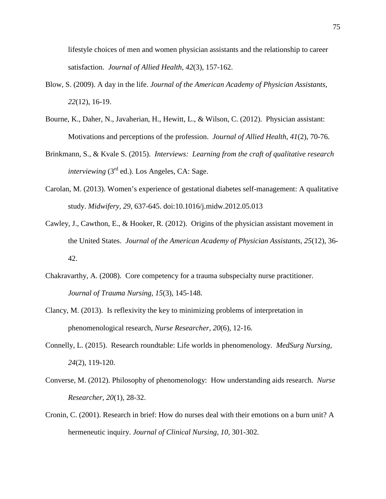lifestyle choices of men and women physician assistants and the relationship to career satisfaction. *Journal of Allied Health, 42*(3), 157-162.

- Blow, S. (2009). A day in the life. *Journal of the American Academy of Physician Assistants, 22*(12), 16-19.
- Bourne, K., Daher, N., Javaherian, H., Hewitt, L., & Wilson, C. (2012). Physician assistant: Motivations and perceptions of the profession. *Journal of Allied Health*, *41*(2), 70-76.
- Brinkmann, S., & Kvale S. (2015). *Interviews: Learning from the craft of qualitative research interviewing* (3rd ed.). Los Angeles, CA: Sage.
- Carolan, M. (2013). Women's experience of gestational diabetes self-management: A qualitative study. *Midwifery, 29*, 637-645. doi:10.1016/j.midw.2012.05.013
- Cawley, J., Cawthon, E., & Hooker, R. (2012). Origins of the physician assistant movement in the United States. *Journal of the American Academy of Physician Assistants, 25*(12), 36- 42.
- Chakravarthy, A. (2008). Core competency for a trauma subspecialty nurse practitioner. *Journal of Trauma Nursing, 15*(3), 145-148.
- Clancy, M. (2013). Is reflexivity the key to minimizing problems of interpretation in phenomenological research, *Nurse Researcher, 20*(6), 12-16.
- Connelly, L. (2015). Research roundtable: Life worlds in phenomenology. *MedSurg Nursing, 24*(2), 119-120.
- Converse, M. (2012). Philosophy of phenomenology: How understanding aids research. *Nurse Researcher, 20*(1), 28-32.
- Cronin, C. (2001). Research in brief: How do nurses deal with their emotions on a burn unit? A hermeneutic inquiry. *Journal of Clinical Nursing, 10*, 301-302.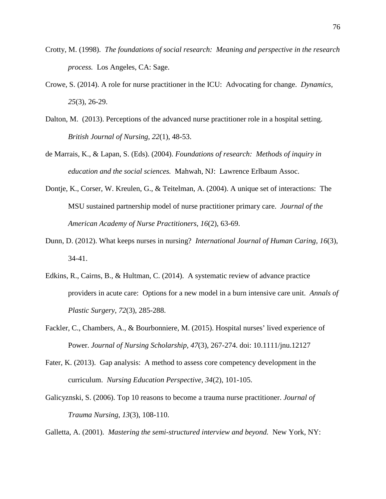- Crotty, M. (1998). *The foundations of social research: Meaning and perspective in the research process.* Los Angeles, CA: Sage.
- Crowe, S. (2014). A role for nurse practitioner in the ICU: Advocating for change. *Dynamics, 25*(3), 26-29.
- Dalton, M. (2013). Perceptions of the advanced nurse practitioner role in a hospital setting. *British Journal of Nursing, 22*(1), 48-53.
- de Marrais, K., & Lapan, S. (Eds). (2004). *Foundations of research: Methods of inquiry in education and the social sciences.* Mahwah, NJ: Lawrence Erlbaum Assoc.
- Dontje, K., Corser, W. Kreulen, G., & Teitelman, A. (2004). A unique set of interactions: The MSU sustained partnership model of nurse practitioner primary care. *Journal of the American Academy of Nurse Practitioners, 16*(2), 63-69.
- Dunn, D. (2012). What keeps nurses in nursing? *International Journal of Human Caring, 16*(3), 34-41.
- Edkins, R., Cairns, B., & Hultman, C. (2014). A systematic review of advance practice providers in acute care: Options for a new model in a burn intensive care unit. *Annals of Plastic Surgery*, *72*(3), 285-288.
- Fackler, C., Chambers, A., & Bourbonniere, M. (2015). Hospital nurses' lived experience of Power. *Journal of Nursing Scholarship, 47*(3), 267-274. doi: 10.1111/jnu.12127
- Fater, K. (2013). Gap analysis: A method to assess core competency development in the curriculum. *Nursing Education Perspective, 34*(2), 101-105.
- Galicyznski, S. (2006). Top 10 reasons to become a trauma nurse practitioner. *Journal of Trauma Nursing*, *13*(3), 108-110.

Galletta, A. (2001). *Mastering the semi-structured interview and beyond.* New York, NY: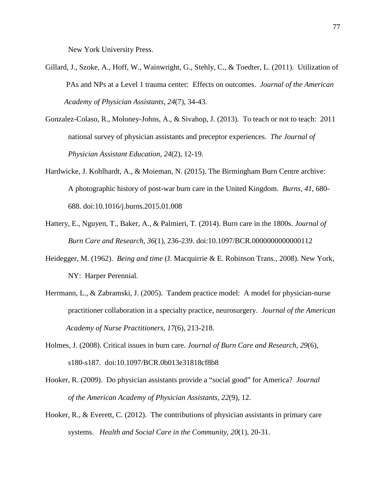New York University Press.

- Gillard, J., Szoke, A., Hoff, W., Wainwright, G., Stehly, C., & Toedter, L. (2011). Utilization of PAs and NPs at a Level 1 trauma center: Effects on outcomes. *Journal of the American Academy of Physician Assistants, 24*(7), 34-43.
- Gonzalez-Colaso, R., Moloney-Johns, A., & Sivahop, J. (2013). To teach or not to teach: 2011 national survey of physician assistants and preceptor experiences. *The Journal of Physician Assistant Education, 24*(2), 12-19.
- Hardwicke, J. Kohlhardt, A., & Moieman, N. (2015). The Birmingham Burn Centre archive: A photographic history of post-war burn care in the United Kingdom. *Burns, 41*, 680- 688. doi:10.1016/j.burns.2015.01.008
- Hattery, E., Nguyen, T., Baker, A., & Palmieri, T. (2014). Burn care in the 1800s. *Journal of Burn Care and Research, 36*(1), 236-239. doi:10.1097/BCR.0000000000000112
- Heidegger, M. (1962). *Being and time* (J. Macquirrie & E. Robinson Trans., 2008). New York, NY: Harper Perennial.
- Herrmann, L., & Zabramski, J. (2005). Tandem practice model: A model for physician-nurse practitioner collaboration in a specialty practice, neurosurgery. *Journal of the American Academy of Nurse Practitioners, 17*(6), 213-218.
- Holmes, J. (2008). Critical issues in burn care. *Journal of Burn Care and Research, 29*(6), s180-s187. doi:10.1097/BCR.0b013e31818cf8b8
- Hooker, R. (2009). Do physician assistants provide a "social good" for America? *Journal of the American Academy of Physician Assistants, 22*(9), 12.
- Hooker, R., & Everett, C. (2012). The contributions of physician assistants in primary care systems. *Health and Social Care in the Community, 20*(1), 20-31.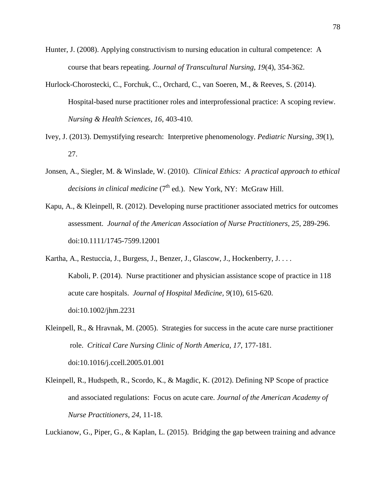- Hunter, J. (2008). Applying constructivism to nursing education in cultural competence: A course that bears repeating. *Journal of Transcultural Nursing, 19*(4), 354-362.
- Hurlock-Chorostecki, C., Forchuk, C., Orchard, C., van Soeren, M., & Reeves, S. (2014). Hospital-based nurse practitioner roles and interprofessional practice: A scoping review. *Nursing & Health Sciences, 16*, 403-410.
- Ivey, J. (2013). Demystifying research: Interpretive phenomenology. *Pediatric Nursing, 39*(1), 27.
- Jonsen, A., Siegler, M. & Winslade, W. (2010). *Clinical Ethics: A practical approach to ethical decisions in clinical medicine* (7<sup>th</sup> ed.). New York, NY: McGraw Hill.
- Kapu, A., & Kleinpell, R. (2012). Developing nurse practitioner associated metrics for outcomes assessment. *Journal of the American Association of Nurse Practitioners, 25*, 289-296. doi:10.1111/1745-7599.12001
- Kartha, A., Restuccia, J., Burgess, J., Benzer, J., Glascow, J., Hockenberry, J. . . . Kaboli, P. (2014). Nurse practitioner and physician assistance scope of practice in 118 acute care hospitals. *Journal of Hospital Medicine, 9*(10), 615-620. doi:10.1002/jhm.2231
- Kleinpell, R., & Hravnak, M. (2005). Strategies for success in the acute care nurse practitioner role. *Critical Care Nursing Clinic of North America, 17*, 177-181. doi:10.1016/j.ccell.2005.01.001
- Kleinpell, R., Hudspeth, R., Scordo, K., & Magdic, K. (2012). Defining NP Scope of practice and associated regulations: Focus on acute care. *Journal of the American Academy of Nurse Practitioners*, *24*, 11-18.

Luckianow, G., Piper, G., & Kaplan, L. (2015). Bridging the gap between training and advance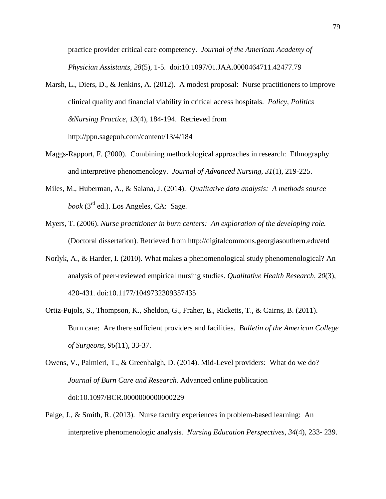practice provider critical care competency. *Journal of the American Academy of Physician Assistants, 28*(5), 1-5. doi:10.1097/01.JAA.0000464711.42477.79

- Marsh, L., Diers, D., & Jenkins, A. (2012). A modest proposal: Nurse practitioners to improve clinical quality and financial viability in critical access hospitals. *Policy, Politics &Nursing Practice*, *13*(4), 184-194. Retrieved from http://ppn.sagepub.com/content/13/4/184
- Maggs-Rapport, F. (2000). Combining methodological approaches in research: Ethnography and interpretive phenomenology. *Journal of Advanced Nursing, 31*(1), 219-225.
- Miles, M., Huberman, A., & Salana, J. (2014). *Qualitative data analysis: A methods source book* (3rd ed.). Los Angeles, CA: Sage.
- Myers, T. (2006). *Nurse practitioner in burn centers: An exploration of the developing role.* (Doctoral dissertation). Retrieved from http://digitalcommons.georgiasouthern.edu/etd
- Norlyk, A., & Harder, I. (2010). What makes a phenomenological study phenomenological? An analysis of peer-reviewed empirical nursing studies. *Qualitative Health Research, 20*(3), 420-431. doi:10.1177/1049732309357435
- Ortiz-Pujols, S., Thompson, K., Sheldon, G., Fraher, E., Ricketts, T., & Cairns, B. (2011). Burn care: Are there sufficient providers and facilities. *Bulletin of the American College of Surgeons*, *96*(11), 33-37.
- Owens, V., Palmieri, T., & Greenhalgh, D. (2014). Mid-Level providers: What do we do? *Journal of Burn Care and Research.* Advanced online publication doi:10.1097/BCR.0000000000000229
- Paige, J., & Smith, R. (2013). Nurse faculty experiences in problem-based learning: An interpretive phenomenologic analysis. *Nursing Education Perspectives, 34*(4), 233- 239.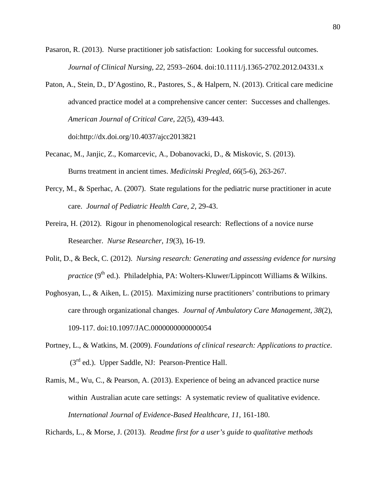- Pasaron, R. (2013). Nurse practitioner job satisfaction: Looking for successful outcomes. *Journal of Clinical Nursing, 22*, 2593–2604. doi:10.1111/j.1365-2702.2012.04331.x
- Paton, A., Stein, D., D'Agostino, R., Pastores, S., & Halpern, N. (2013). Critical care medicine advanced practice model at a comprehensive cancer center: Successes and challenges. *American Journal of Critical Care, 22*(5), 439-443. doi:http://dx.doi.org/10.4037/ajcc2013821
- Pecanac, M., Janjic, Z., Komarcevic, A., Dobanovacki, D., & Miskovic, S. (2013). Burns treatment in ancient times. *Medicinski Pregled, 66*(5-6), 263-267.
- Percy, M., & Sperhac, A. (2007). State regulations for the pediatric nurse practitioner in acute care. *Journal of Pediatric Health Care, 2,* 29-43.
- Pereira, H. (2012). Rigour in phenomenological research: Reflections of a novice nurse Researcher. *Nurse Researcher, 19*(3), 16-19.
- Polit, D., & Beck, C. (2012). *Nursing research: Generating and assessing evidence for nursing practice* ( $9<sup>th</sup>$  ed.). Philadelphia, PA: Wolters-Kluwer/Lippincott Williams & Wilkins.
- Poghosyan, L., & Aiken, L. (2015). Maximizing nurse practitioners' contributions to primary care through organizational changes. *Journal of Ambulatory Care Management, 38*(2), 109-117. doi:10.1097/JAC.0000000000000054
- Portney, L., & Watkins, M. (2009). *Foundations of clinical research: Applications to practice*. (3rd ed.). Upper Saddle, NJ: Pearson-Prentice Hall.
- Ramis, M., Wu, C., & Pearson, A. (2013). Experience of being an advanced practice nurse within Australian acute care settings: A systematic review of qualitative evidence. *International Journal of Evidence-Based Healthcare, 11,* 161-180.

Richards, L., & Morse, J. (2013). *Readme first for a user's guide to qualitative methods*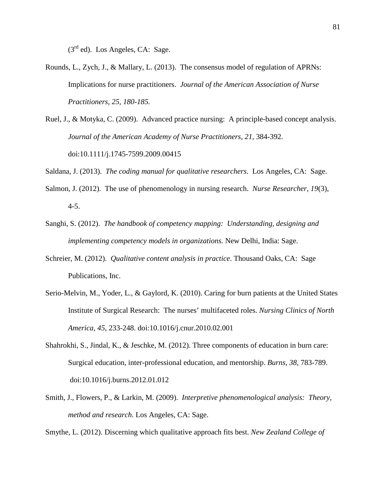$(3<sup>rd</sup>$  ed). Los Angeles, CA: Sage.

- Rounds, L., Zych, J., & Mallary, L. (2013). The consensus model of regulation of APRNs: Implications for nurse practitioners. *Journal of the American Association of Nurse Practitioners, 25, 180-185.*
- Ruel, J., & Motyka, C. (2009). Advanced practice nursing: A principle-based concept analysis. *Journal of the American Academy of Nurse Practitioners, 21*, 384-392. doi:10.1111/j.1745-7599.2009.00415
- Saldana, J. (2013). *The coding manual for qualitative researchers*. Los Angeles, CA: Sage.
- Salmon, J. (2012). The use of phenomenology in nursing research. *Nurse Researcher, 19*(3), 4-5.
- Sanghi, S. (2012). *The handbook of competency mapping: Understanding, designing and implementing competency models in organizations.* New Delhi, India: Sage.
- Schreier, M. (2012). *Qualitative content analysis in practice*. Thousand Oaks, CA: Sage Publications, Inc.
- Serio-Melvin, M., Yoder, L., & Gaylord, K. (2010). Caring for burn patients at the United States Institute of Surgical Research: The nurses' multifaceted roles. *Nursing Clinics of North America, 45*, 233-248. doi:10.1016/j.cnur.2010.02.001
- Shahrokhi, S., Jindal, K., & Jeschke, M. (2012). Three components of education in burn care: Surgical education, inter-professional education, and mentorship. *Burns, 38*, 783-789. doi:10.1016/j.burns.2012.01.012
- Smith, J., Flowers, P., & Larkin, M. (2009). *Interpretive phenomenological analysis: Theory, method and research*. Los Angeles, CA: Sage.

Smythe, L. (2012). Discerning which qualitative approach fits best. *New Zealand College of*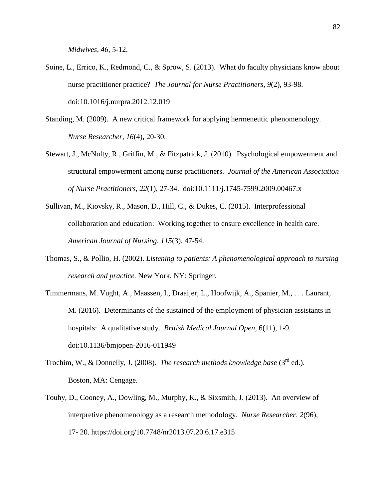*Midwives, 46*, 5-12.

- Soine, L., Errico, K., Redmond, C., & Sprow, S. (2013). What do faculty physicians know about nurse practitioner practice? *The Journal for Nurse Practitioners, 9*(2), 93-98. doi:10.1016/j.nurpra.2012.12.019
- Standing, M. (2009). A new critical framework for applying hermeneutic phenomenology. *Nurse Researcher, 16*(4), 20-30.
- Stewart, J., McNulty, R., Griffin, M., & Fitzpatrick, J. (2010). Psychological empowerment and structural empowerment among nurse practitioners. *Journal of the American Association of Nurse Practitioners*, *22*(1), 27-34. doi:10.1111/j.1745-7599.2009.00467.x
- Sullivan, M., Kiovsky, R., Mason, D., Hill, C., & Dukes, C. (2015). Interprofessional collaboration and education: Working together to ensure excellence in health care. *American Journal of Nursing, 115*(3), 47-54.
- Thomas, S., & Pollio, H. (2002). *Listening to patients: A phenomenological approach to nursing research and practice.* New York, NY: Springer.
- Timmermans, M. Vught, A., Maassen, I., Draaijer, L., Hoofwijk, A., Spanier, M., . . . Laurant, M. (2016). Determinants of the sustained of the employment of physician assistants in hospitals: A qualitative study. *British Medical Journal Open,* 6(11), 1-9. doi:10.1136/bmjopen-2016-011949
- Trochim, W., & Donnelly, J. (2008). *The research methods knowledge base* (3rd ed.). Boston, MA: Cengage.
- Touhy, D., Cooney, A., Dowling, M., Murphy, K., & Sixsmith, J. (2013). An overview of interpretive phenomenology as a research methodology. *Nurse Researcher, 2*(96), 17- 20. https://doi.org/10.7748/nr2013.07.20.6.17.e315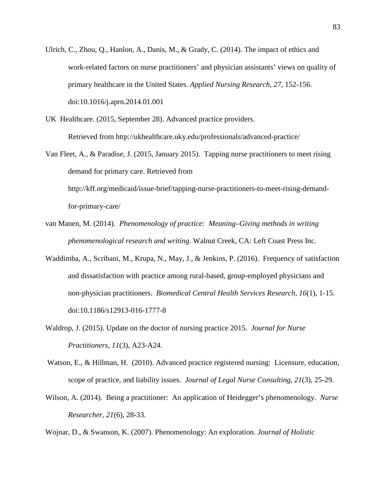- Ulrich, C., Zhou, Q., Hanlon, A., Danis, M., & Grady, C. (2014). The impact of ethics and work-related factors on nurse practitioners' and physician assistants' views on quality of primary healthcare in the United States. *Applied Nursing Research, 27*, 152-156. doi:10.1016/j.aprn.2014.01.001
- UK Healthcare. (2015, September 28). Advanced practice providers. Retrieved from http://ukhealthcare.uky.edu/professionals/advanced-practice/
- Van Fleet, A., & Paradise, J. (2015, January 2015). Tapping nurse practitioners to meet rising demand for primary care. Retrieved from http://kff.org/medicaid/issue-brief/tapping-nurse-practitioners-to-meet-rising-demandfor-primary-care/
- van Manen, M. (2014). *Phenomenology of practice: Meaning–Giving methods in writing phenomenological research and writing*. Walnut Creek, CA: Left Coast Press Inc.
- Waddimba, A., Scribani, M., Krupa, N., May, J., & Jenkins, P. (2016). Frequency of satisfaction and dissatisfaction with practice among rural-based, group-employed physicians and non-physician practitioners. *Biomedical Central Health Services Research, 16*(1), 1-15. doi:10.1186/s12913-016-1777-8
- Waldrop, J. (2015). Update on the doctor of nursing practice 2015. *Journal for Nurse Practitioners, 11*(3), A23-A24.
- Watson, E., & Hillman, H. (2010). Advanced practice registered nursing: Licensure, education, scope of practice, and liability issues. *Journal of Legal Nurse Consulting, 21*(3), 25-29.
- Wilson, A. (2014). Being a practitioner: An application of Heidegger's phenomenology. *Nurse Researcher, 21*(6), 28-33.
- Wojnar, D., & Swanson, K. (2007). Phenomenology: An exploration. *Journal of Holistic*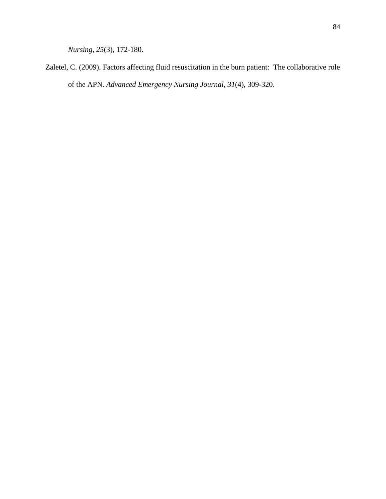*Nursing, 25*(3), 172-180.

Zaletel, C. (2009). Factors affecting fluid resuscitation in the burn patient: The collaborative role of the APN. *Advanced Emergency Nursing Journal, 31*(4), 309-320.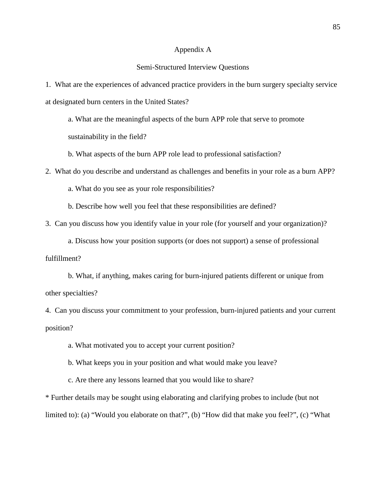#### Appendix A

#### Semi-Structured Interview Questions

1. What are the experiences of advanced practice providers in the burn surgery specialty service at designated burn centers in the United States?

a. What are the meaningful aspects of the burn APP role that serve to promote sustainability in the field?

b. What aspects of the burn APP role lead to professional satisfaction?

2. What do you describe and understand as challenges and benefits in your role as a burn APP?

a. What do you see as your role responsibilities?

b. Describe how well you feel that these responsibilities are defined?

3. Can you discuss how you identify value in your role (for yourself and your organization)?

a. Discuss how your position supports (or does not support) a sense of professional fulfillment?

b. What, if anything, makes caring for burn-injured patients different or unique from other specialties?

4. Can you discuss your commitment to your profession, burn-injured patients and your current position?

a. What motivated you to accept your current position?

b. What keeps you in your position and what would make you leave?

c. Are there any lessons learned that you would like to share?

\* Further details may be sought using elaborating and clarifying probes to include (but not limited to): (a) "Would you elaborate on that?", (b) "How did that make you feel?", (c) "What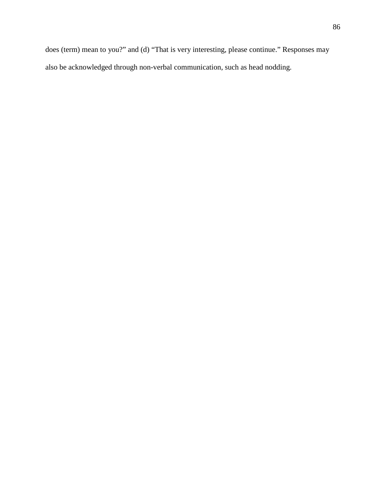does (term) mean to you?" and (d) "That is very interesting, please continue." Responses may also be acknowledged through non-verbal communication, such as head nodding.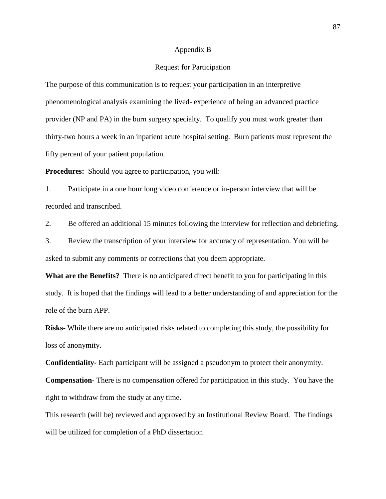#### Appendix B

#### Request for Participation

The purpose of this communication is to request your participation in an interpretive phenomenological analysis examining the lived- experience of being an advanced practice provider (NP and PA) in the burn surgery specialty. To qualify you must work greater than thirty-two hours a week in an inpatient acute hospital setting. Burn patients must represent the fifty percent of your patient population.

**Procedures:** Should you agree to participation, you will:

1. Participate in a one hour long video conference or in-person interview that will be recorded and transcribed.

2. Be offered an additional 15 minutes following the interview for reflection and debriefing.

3. Review the transcription of your interview for accuracy of representation. You will be asked to submit any comments or corrections that you deem appropriate.

**What are the Benefits?** There is no anticipated direct benefit to you for participating in this study. It is hoped that the findings will lead to a better understanding of and appreciation for the role of the burn APP.

**Risks-** While there are no anticipated risks related to completing this study, the possibility for loss of anonymity.

**Confidentiality-** Each participant will be assigned a pseudonym to protect their anonymity.

**Compensation-** There is no compensation offered for participation in this study. You have the right to withdraw from the study at any time.

This research (will be) reviewed and approved by an Institutional Review Board. The findings will be utilized for completion of a PhD dissertation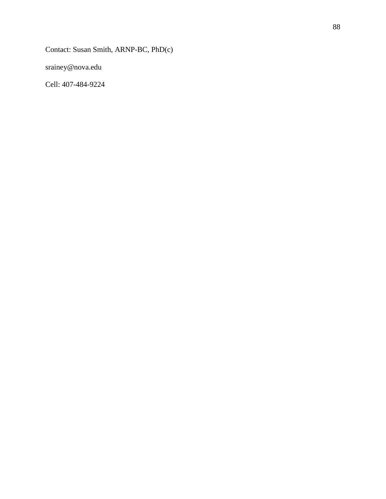Contact: Susan Smith, ARNP-BC, PhD(c)

srainey@nova.edu

Cell: 407-484-9224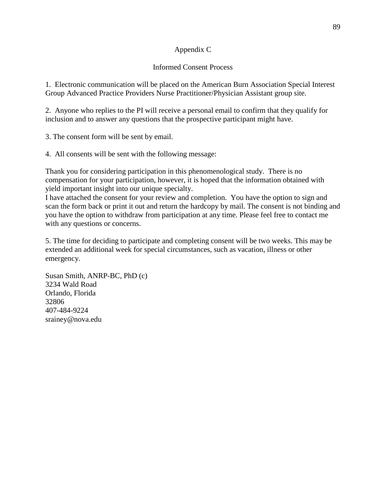# Appendix C

## Informed Consent Process

1. Electronic communication will be placed on the American Burn Association Special Interest Group Advanced Practice Providers Nurse Practitioner/Physician Assistant group site.

2. Anyone who replies to the PI will receive a personal email to confirm that they qualify for inclusion and to answer any questions that the prospective participant might have.

3. The consent form will be sent by email.

4. All consents will be sent with the following message:

Thank you for considering participation in this phenomenological study. There is no compensation for your participation, however, it is hoped that the information obtained with yield important insight into our unique specialty.

I have attached the consent for your review and completion. You have the option to sign and scan the form back or print it out and return the hardcopy by mail. The consent is not binding and you have the option to withdraw from participation at any time. Please feel free to contact me with any questions or concerns.

5. The time for deciding to participate and completing consent will be two weeks. This may be extended an additional week for special circumstances, such as vacation, illness or other emergency.

Susan Smith, ANRP-BC, PhD (c) 3234 Wald Road Orlando, Florida 32806 407-484-9224 srainey@nova.edu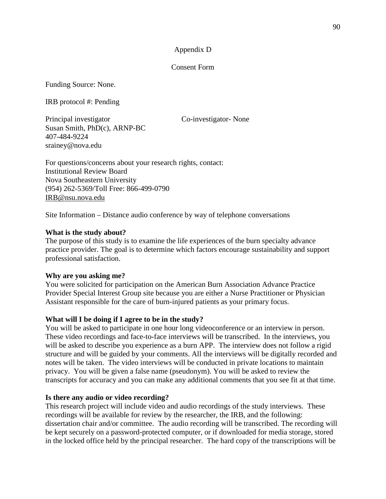## Appendix D

#### Consent Form

Funding Source: None.

IRB protocol #: Pending

Principal investigator Co-investigator- None Susan Smith, PhD(c), ARNP-BC 407-484-9224 srainey@nova.edu

For questions/concerns about your research rights, contact: Institutional Review Board Nova Southeastern University (954) 262-5369/Toll Free: 866-499-0790 [IRB@nsu.nova.edu](mailto:IRB@nsu.nova.edu)

Site Information – Distance audio conference by way of telephone conversations

## **What is the study about?**

The purpose of this study is to examine the life experiences of the burn specialty advance practice provider. The goal is to determine which factors encourage sustainability and support professional satisfaction.

## **Why are you asking me?**

You were solicited for participation on the American Burn Association Advance Practice Provider Special Interest Group site because you are either a Nurse Practitioner or Physician Assistant responsible for the care of burn-injured patients as your primary focus.

# **What will I be doing if I agree to be in the study?**

You will be asked to participate in one hour long videoconference or an interview in person. These video recordings and face-to-face interviews will be transcribed. In the interviews, you will be asked to describe you experience as a burn APP. The interview does not follow a rigid structure and will be guided by your comments. All the interviews will be digitally recorded and notes will be taken. The video interviews will be conducted in private locations to maintain privacy. You will be given a false name (pseudonym). You will be asked to review the transcripts for accuracy and you can make any additional comments that you see fit at that time.

## **Is there any audio or video recording?**

This research project will include video and audio recordings of the study interviews. These recordings will be available for review by the researcher, the IRB, and the following: dissertation chair and/or committee. The audio recording will be transcribed. The recording will be kept securely on a password-protected computer, or if downloaded for media storage, stored in the locked office held by the principal researcher. The hard copy of the transcriptions will be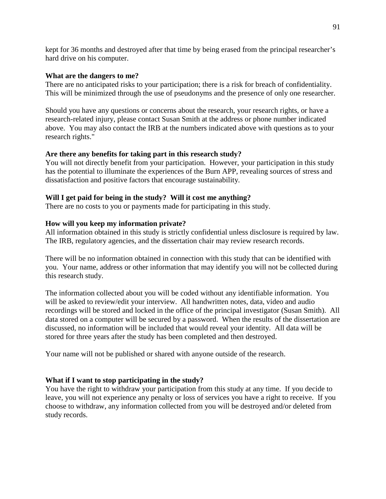kept for 36 months and destroyed after that time by being erased from the principal researcher's hard drive on his computer.

## **What are the dangers to me?**

There are no anticipated risks to your participation; there is a risk for breach of confidentiality. This will be minimized through the use of pseudonyms and the presence of only one researcher.

Should you have any questions or concerns about the research, your research rights, or have a research-related injury, please contact Susan Smith at the address or phone number indicated above. You may also contact the IRB at the numbers indicated above with questions as to your research rights."

# **Are there any benefits for taking part in this research study?**

You will not directly benefit from your participation. However, your participation in this study has the potential to illuminate the experiences of the Burn APP, revealing sources of stress and dissatisfaction and positive factors that encourage sustainability.

# **Will I get paid for being in the study? Will it cost me anything?**

There are no costs to you or payments made for participating in this study.

# **How will you keep my information private?**

All information obtained in this study is strictly confidential unless disclosure is required by law. The IRB, regulatory agencies, and the dissertation chair may review research records.

There will be no information obtained in connection with this study that can be identified with you. Your name, address or other information that may identify you will not be collected during this research study.

The information collected about you will be coded without any identifiable information. You will be asked to review/edit your interview. All handwritten notes, data, video and audio recordings will be stored and locked in the office of the principal investigator (Susan Smith). All data stored on a computer will be secured by a password. When the results of the dissertation are discussed, no information will be included that would reveal your identity. All data will be stored for three years after the study has been completed and then destroyed.

Your name will not be published or shared with anyone outside of the research.

# **What if I want to stop participating in the study?**

You have the right to withdraw your participation from this study at any time. If you decide to leave, you will not experience any penalty or loss of services you have a right to receive. If you choose to withdraw, any information collected from you will be destroyed and/or deleted from study records.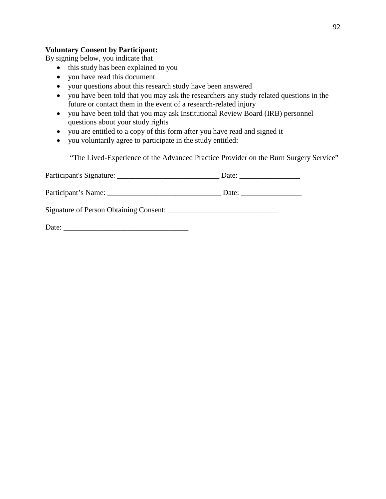# **Voluntary Consent by Participant:**

By signing below, you indicate that

- this study has been explained to you
- you have read this document
- your questions about this research study have been answered
- you have been told that you may ask the researchers any study related questions in the future or contact them in the event of a research-related injury
- you have been told that you may ask Institutional Review Board (IRB) personnel questions about your study rights
- you are entitled to a copy of this form after you have read and signed it
- you voluntarily agree to participate in the study entitled:

"The Lived-Experience of the Advanced Practice Provider on the Burn Surgery Service"

| Participant's Signature:               | Date: |
|----------------------------------------|-------|
| Participant's Name:                    | Date: |
| Signature of Person Obtaining Consent: |       |

| Date: |  |
|-------|--|
|       |  |